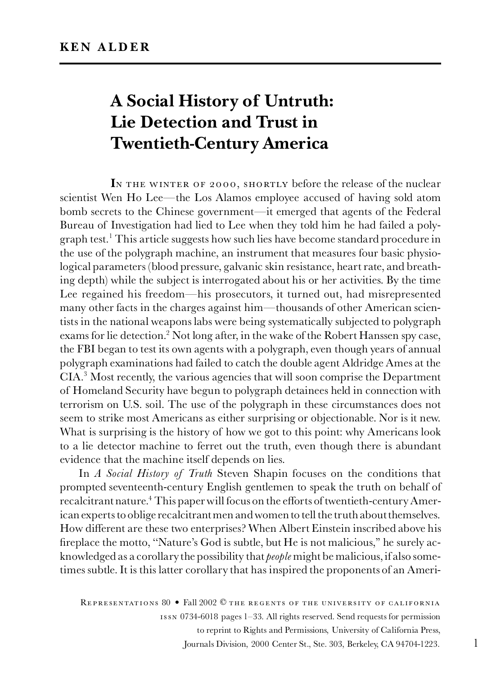# **A Social History of Untruth: Lie Detection and Trust in Twentieth-Century America**

IN THE WINTER OF 2000, SHORTLY before the release of the nuclear scientist Wen Ho Lee—the Los Alamos employee accused of having sold atom bomb secrets to the Chinese government—it emerged that agents of the Federal Bureau of Investigation had lied to Lee when they told him he had failed a polygraph test.<sup>1</sup> This article suggests how such lies have become standard procedure in the use of the polygraph machine, an instrument that measures four basic physiological parameters (blood pressure, galvanic skin resistance, heart rate, and breathing depth) while the subject is interrogated about his or her activities. By the time Lee regained his freedom—his prosecutors, it turned out, had misrepresented many other facts in the charges against him—thousands of other American scientists in the national weapons labs were being systematically subjected to polygraph exams for lie detection.<sup>2</sup> Not long after, in the wake of the Robert Hanssen spy case, the FBI began to test its own agents with a polygraph, even though years of annual polygraph examinations had failed to catch the double agent Aldridge Ames at the CIA.<sup>3</sup> Most recently, the various agencies that will soon comprise the Department of Homeland Security have begun to polygraph detainees held in connection with terrorism on U.S. soil. The use of the polygraph in these circumstances does not seem to strike most Americans as either surprising or objectionable. Nor is it new. What is surprising is the history of how we got to this point: why Americans look to a lie detector machine to ferret out the truth, even though there is abundant evidence that the machine itself depends on lies.

In *A Social History of Truth* Steven Shapin focuses on the conditions that prompted seventeenth-century English gentlemen to speak the truth on behalf of recalcitrant nature.<sup>4</sup> This paper will focus on the efforts of twentieth-century American experts to oblige recalcitrantmen and women to tell the truth about themselves. How different are these two enterprises? When Albert Einstein inscribed above his fireplace the motto, "Nature's God is subtle, but He is not malicious," he surely acknowledged as a corollary the possibility that *people* might be malicious, if also sometimes subtle. It is this latter corollary that has inspired the proponents of an Ameri-

REPRESENTATIONS 80 · Fall 2002 © THE REGENTS OF THE UNIVERSITY OF CALIFORNIA issn 0734-6018 pages 1–33. All rights reserved. Send requests for permission to reprint to Rights and Permissions, University of California Press, Journals Division, 2000 Center St., Ste. 303, Berkeley, CA 94704-1223. 1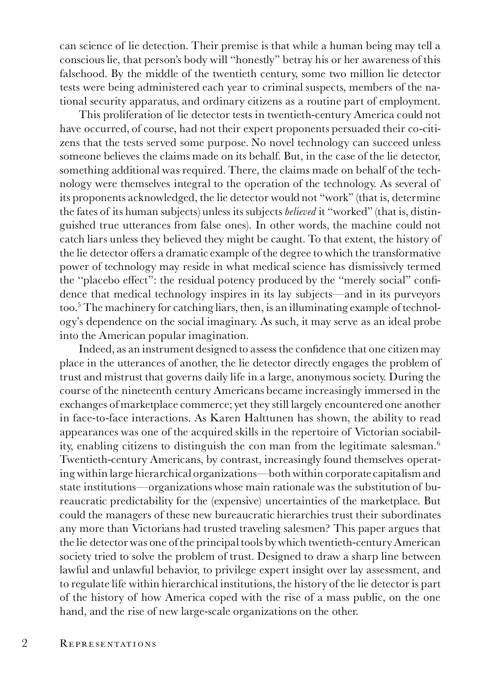can science of lie detection. Their premise is that while a human being may tell a conscious lie, that person's body will ''honestly'' betray his or her awareness of this falsehood. By the middle of the twentieth century, some two million lie detector tests were being administered each year to criminal suspects, members of the national security apparatus, and ordinary citizens as a routine part of employment.

This proliferation of lie detector tests in twentieth-century America could not have occurred, of course, had not their expert proponents persuaded their co-citizens that the tests served some purpose. No novel technology can succeed unless someone believes the claims made on its behalf. But, in the case of the lie detector, something additional was required. There, the claims made on behalf of the technology were themselves integral to the operation of the technology. As several of its proponents acknowledged, the lie detector would not ''work'' (that is, determine the fates of its human subjects) unless its subjects *believed* it ''worked'' (that is, distinguished true utterances from false ones). In other words, the machine could not catch liars unless they believed they might be caught. To that extent, the history of the lie detector offers a dramatic example of the degree to which the transformative power of technology may reside in what medical science has dismissively termed the "placebo effect": the residual potency produced by the "merely social" confidence that medical technology inspires in its lay subjects—and in its purveyors too.<sup>5</sup> The machinery for catching liars, then, is an illuminating example of technology's dependence on the social imaginary. As such, it may serve as an ideal probe into the American popular imagination.

Indeed, as an instrument designed to assess the confidence that one citizen may place in the utterances of another, the lie detector directly engages the problem of trust and mistrust that governs daily life in a large, anonymous society. During the course of the nineteenth century Americans became increasingly immersed in the exchanges of marketplace commerce; yet they still largely encountered one another in face-to-face interactions. As Karen Halttunen has shown, the ability to read appearances was one of the acquired skills in the repertoire of Victorian sociability, enabling citizens to distinguish the con man from the legitimate salesman.<sup>6</sup> Twentieth-century Americans, by contrast, increasingly found themselves operating within large hierarchical organizations—both within corporate capitalism and state institutions—organizations whose main rationale was the substitution of bureaucratic predictability for the (expensive) uncertainties of the marketplace. But could the managers of these new bureaucratic hierarchies trust their subordinates any more than Victorians had trusted traveling salesmen? This paper argues that the lie detector was one of the principal tools by which twentieth-centuryAmerican society tried to solve the problem of trust. Designed to draw a sharp line between lawful and unlawful behavior, to privilege expert insight over lay assessment, and to regulate life within hierarchical institutions, the history of the lie detector is part of the history of how America coped with the rise of a mass public, on the one hand, and the rise of new large-scale organizations on the other.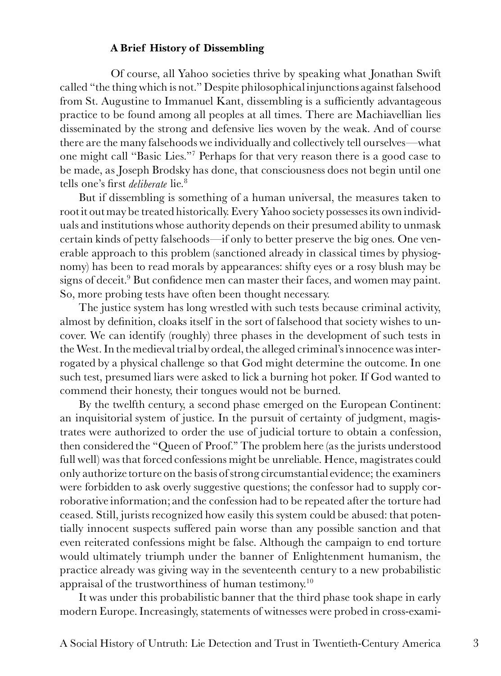# **A Brief History of Dissembling**

Of course, all Yahoo societies thrive by speaking what Jonathan Swift called ''the thing which is not.'' Despite philosophical injunctions against falsehood from St. Augustine to Immanuel Kant, dissembling is a sufficiently advantageous practice to be found among all peoples at all times. There are Machiavellian lies disseminated by the strong and defensive lies woven by the weak. And of course there are the many falsehoods we individually and collectively tell ourselves—what one might call ''Basic Lies.''<sup>7</sup> Perhaps for that very reason there is a good case to be made, as Joseph Brodsky has done, that consciousness does not begin until one tells one's first *deliberate* lie.<sup>8</sup>

But if dissembling is something of a human universal, the measures taken to rootit out may be treated historically. Every Yahoo society possesses its own individuals and institutions whose authority depends on their presumed ability to unmask certain kinds of petty falsehoods—if only to better preserve the big ones. One venerable approach to this problem (sanctioned already in classical times by physiognomy) has been to read morals by appearances: shifty eyes or a rosy blush may be signs of deceit.<sup>9</sup> But confidence men can master their faces, and women may paint. So, more probing tests have often been thought necessary.

The justice system has long wrestled with such tests because criminal activity, almost by definition, cloaks itself in the sort of falsehood that society wishes to uncover. We can identify (roughly) three phases in the development of such tests in the West.In the medieval trial by ordeal, the alleged criminal'sinnocencewasinterrogated by a physical challenge so that God might determine the outcome. In one such test, presumed liars were asked to lick a burning hot poker. If God wanted to commend their honesty, their tongues would not be burned.

By the twelfth century, a second phase emerged on the European Continent: an inquisitorial system of justice. In the pursuit of certainty of judgment, magistrates were authorized to order the use of judicial torture to obtain a confession, then considered the ''Queen of Proof.'' The problem here (as the jurists understood full well) was that forced confessions might be unreliable. Hence, magistrates could only authorize torture on the basis ofstrong circumstantial evidence; the examiners were forbidden to ask overly suggestive questions; the confessor had to supply corroborative information; and the confession had to be repeated after the torture had ceased. Still, jurists recognized how easily this system could be abused: that potentially innocent suspects suffered pain worse than any possible sanction and that even reiterated confessions might be false. Although the campaign to end torture would ultimately triumph under the banner of Enlightenment humanism, the practice already was giving way in the seventeenth century to a new probabilistic appraisal of the trustworthiness of human testimony.<sup>10</sup>

It was under this probabilistic banner that the third phase took shape in early modern Europe. Increasingly, statements of witnesses were probed in cross-exami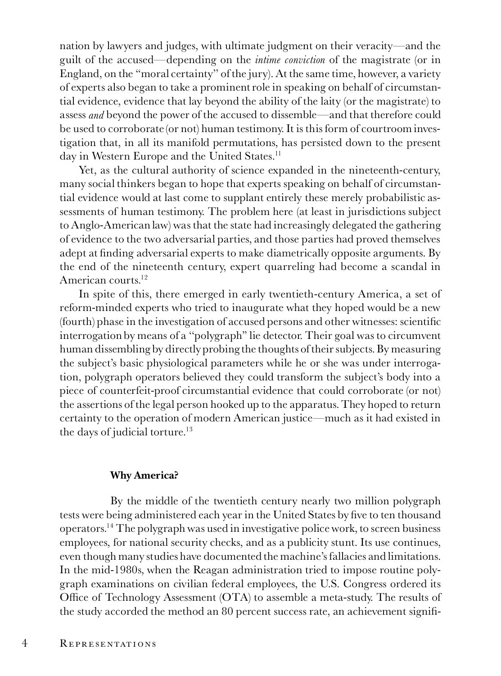nation by lawyers and judges, with ultimate judgment on their veracity—and the guilt of the accused—depending on the *intime conviction* of the magistrate (or in England, on the ''moral certainty'' of the jury). At the same time, however, a variety of experts also began to take a prominentrole in speaking on behalf of circumstantial evidence, evidence that lay beyond the ability of the laity (or the magistrate) to assess *and* beyond the power of the accused to dissemble—and that therefore could be used to corroborate (or not) human testimony. It is this form of courtroom investigation that, in all its manifold permutations, has persisted down to the present day in Western Europe and the United States.<sup>11</sup>

Yet, as the cultural authority of science expanded in the nineteenth-century, many social thinkers began to hope that experts speaking on behalf of circumstantial evidence would at last come to supplant entirely these merely probabilistic assessments of human testimony. The problem here (at least in jurisdictions subject to Anglo-American law) was that the state had increasingly delegated the gathering of evidence to the two adversarial parties, and those parties had proved themselves adept at finding adversarial experts to make diametrically opposite arguments. By the end of the nineteenth century, expert quarreling had become a scandal in American courts.<sup>12</sup>

In spite of this, there emerged in early twentieth-century America, a set of reform-minded experts who tried to inaugurate what they hoped would be a new (fourth) phase in the investigation of accused persons and other witnesses: scientific interrogation by means of a ''polygraph'' lie detector. Their goal was to circumvent human dissembling by directly probing the thoughts of theirsubjects.By measuring the subject's basic physiological parameters while he or she was under interrogation, polygraph operators believed they could transform the subject's body into a piece of counterfeit-proof circumstantial evidence that could corroborate (or not) the assertions of the legal person hooked up to the apparatus.They hoped to return certainty to the operation of modern American justice—much as it had existed in the days of judicial torture.<sup>13</sup>

## **Why America?**

By the middle of the twentieth century nearly two million polygraph tests were being administered each year in the United States by five to ten thousand operators.<sup>14</sup> The polygraph was used in investigative policework, to screen business employees, for national security checks, and as a publicity stunt. Its use continues, even though many studies have documented the machine's fallacies and limitations. In the mid-1980s, when the Reagan administration tried to impose routine polygraph examinations on civilian federal employees, the U.S. Congress ordered its Office of Technology Assessment  $(OTA)$  to assemble a meta-study. The results of the study accorded the method an 80 percent success rate, an achievement signifi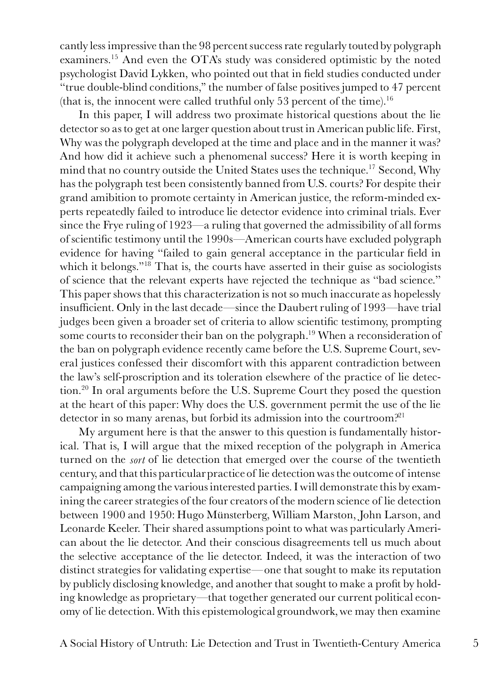cantly less impressive than the 98 percentsuccess rate regularly touted by polygraph examiners.<sup>15</sup> And even the OTA's study was considered optimistic by the noted psychologist David Lykken, who pointed out that in field studies conducted under ''true double-blind conditions,'' the number of false positives jumped to 47 percent (that is, the innocent were called truthful only 53 percent of the time).<sup>16</sup>

In this paper, I will address two proximate historical questions about the lie detector so as to get at one larger question about trust in American public life. First, Why was the polygraph developed at the time and place and in the manner it was? And how did it achieve such a phenomenal success? Here it is worth keeping in mind that no country outside the United States uses the technique.<sup>17</sup> Second, Why has the polygraph test been consistently banned from U.S. courts? For despite their grand amibition to promote certainty in American justice, the reform-minded experts repeatedly failed to introduce lie detector evidence into criminal trials. Ever since the Frye ruling of 1923—a ruling that governed the admissibility of all forms of scientific testimony until the 1990s—American courts have excluded polygraph evidence for having "failed to gain general acceptance in the particular field in which it belongs."<sup>18</sup> That is, the courts have asserted in their guise as sociologists of science that the relevant experts have rejected the technique as ''bad science.'' This paper shows that this characterization is not so much inaccurate as hopelessly insufficient. Only in the last decade—since the Daubert ruling of 1993—have trial judges been given a broader set of criteria to allow scientific testimony, prompting some courts to reconsider their ban on the polygraph.<sup>19</sup> When a reconsideration of the ban on polygraph evidence recently came before the U.S. Supreme Court, several justices confessed their discomfort with this apparent contradiction between the law's self-proscription and its toleration elsewhere of the practice of lie detection.<sup>20</sup> In oral arguments before the U.S. Supreme Court they posed the question at the heart of this paper: Why does the U.S. government permit the use of the lie detector in so many arenas, but forbid its admission into the courtroom?<sup>21</sup>

My argument here is that the answer to this question is fundamentally historical. That is, I will argue that the mixed reception of the polygraph in America turned on the *sort* of lie detection that emerged over the course of the twentieth century, and that this particularpracticeof lie detection wasthe outcome of intense campaigning among the variousinterested parties.I will demonstrate this by examining the career strategies of the four creators of the modern science of lie detection between 1900 and 1950: Hugo Münsterberg, William Marston, John Larson, and Leonarde Keeler. Their shared assumptions point to what was particularly American about the lie detector. And their conscious disagreements tell us much about the selective acceptance of the lie detector. Indeed, it was the interaction of two distinct strategies for validating expertise—one that sought to make its reputation by publicly disclosing knowledge, and another that sought to make a profit by holding knowledge as proprietary—that together generated our current political economy of lie detection. With this epistemological groundwork,we may then examine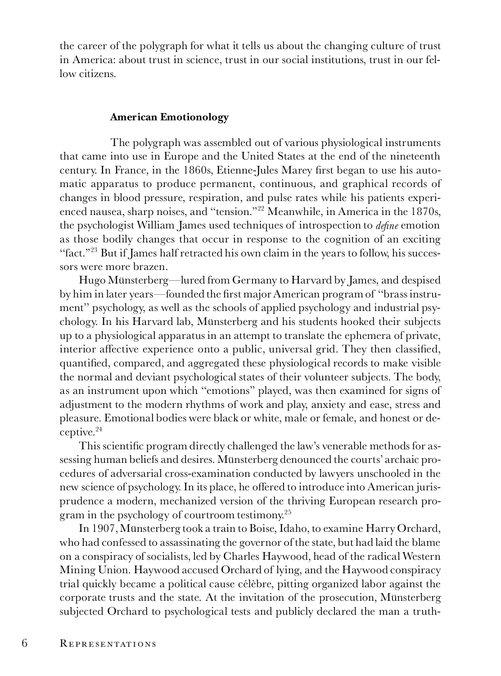the career of the polygraph for what it tells us about the changing culture of trust in America: about trust in science, trust in our social institutions, trust in our fellow citizens.

## **American Emotionology**

The polygraph was assembled out of various physiological instruments that came into use in Europe and the United States at the end of the nineteenth century. In France, in the 1860s, Etienne-Jules Marey first began to use his automatic apparatus to produce permanent, continuous, and graphical records of changes in blood pressure, respiration, and pulse rates while his patients experienced nausea, sharp noises, and ''tension.''<sup>22</sup> Meanwhile, in America in the 1870s, the psychologist William James used techniques of introspection to *dene* emotion as those bodily changes that occur in response to the cognition of an exciting "fact."<sup>23</sup> But if James half retracted his own claim in the years to follow, his successors were more brazen.

Hugo Münsterberg—lured from Germany to Harvard by James, and despised by him in later years—founded the first major American program of "brass instrument'' psychology, as well as the schools of applied psychology and industrial psychology. In his Harvard lab, Münsterberg and his students hooked their subjects up to a physiological apparatus in an attempt to translate the ephemera of private, interior affective experience onto a public, universal grid. They then classified, quanti ed, compared, and aggregated these physiological records to make visible the normal and deviant psychological states of their volunteer subjects. The body, as an instrument upon which ''emotions'' played, was then examined for signs of adjustment to the modern rhythms of work and play, anxiety and ease, stress and pleasure. Emotional bodies were black or white, male or female, and honest or deceptive.<sup>24</sup>

This scientific program directly challenged the law's venerable methods for assessing human beliefs and desires. Münsterberg denounced the courts' archaic procedures of adversarial cross-examination conducted by lawyers unschooled in the new science of psychology. In its place, he offered to introduce into American jurisprudence a modern, mechanized version of the thriving European research program in the psychology of courtroom testimony.<sup>25</sup>

In 1907, Münsterberg took a train to Boise, Idaho, to examine Harry Orchard, who had confessed to assassinating the governor of the state, but had laid the blame on a conspiracy of socialists, led by Charles Haywood, head of the radical Western Mining Union. Haywood accused Orchard of lying, and the Haywood conspiracy trial quickly became a political cause célèbre, pitting organized labor against the corporate trusts and the state. At the invitation of the prosecution, Munsterberg subjected Orchard to psychological tests and publicly declared the man a truth-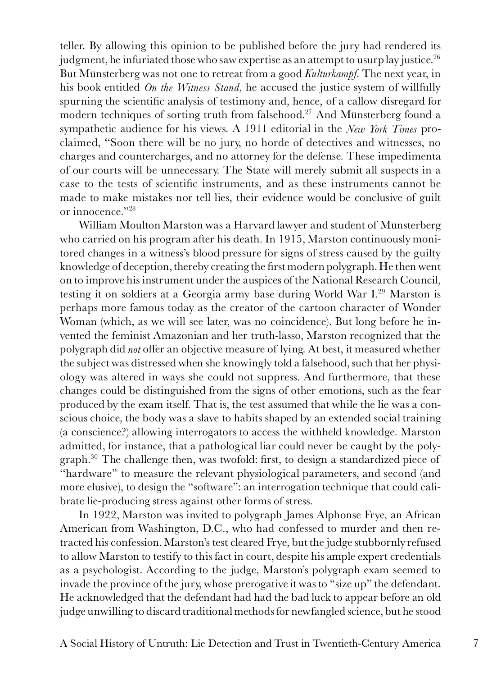teller. By allowing this opinion to be published before the jury had rendered its judgment, he infuriated those who saw expertise as an attempt to usurp lay justice.<sup>26</sup> But Münsterberg was not one to retreat from a good *Kulturkampf*. The next year, in his book entitled *On the Witness Stand*, he accused the justice system of willfully spurning the scientific analysis of testimony and, hence, of a callow disregard for modern techniques of sorting truth from falsehood.<sup>27</sup> And Münsterberg found a sympathetic audience for his views. A 1911 editorial in the *New York Times* proclaimed, ''Soon there will be no jury, no horde of detectives and witnesses, no charges and countercharges, and no attorney for the defense. These impedimenta of our courts will be unnecessary. The State will merely submit all suspects in a case to the tests of scientific instruments, and as these instruments cannot be made to make mistakes nor tell lies, their evidence would be conclusive of guilt or innocence.''<sup>28</sup>

William Moulton Marston was a Harvard lawyer and student of Münsterberg who carried on his program after his death. In 1915, Marston continuously monitored changes in a witness's blood pressure for signs of stress caused by the guilty knowledge of deception, thereby creating the first modern polygraph. He then went on to improve his instrument under the auspices of the National Research Council, testing it on soldiers at a Georgia army base during World War I.<sup>29</sup> Marston is perhaps more famous today as the creator of the cartoon character of Wonder Woman (which, as we will see later, was no coincidence). But long before he invented the feminist Amazonian and her truth-lasso, Marston recognized that the polygraph did *not* offer an objective measure of lying. At best, it measured whether the subject was distressed when she knowingly told a falsehood, such that her physiology was altered in ways she could not suppress. And furthermore, that these changes could be distinguished from the signs of other emotions, such as the fear produced by the exam itself. That is, the test assumed that while the lie was a conscious choice, the body was a slave to habits shaped by an extended social training (a conscience?) allowing interrogators to access the withheld knowledge. Marston admitted, for instance, that a pathological liar could never be caught by the polygraph.<sup>30</sup> The challenge then, was twofold: first, to design a standardized piece of ''hardware'' to measure the relevant physiological parameters, and second (and more elusive), to design the ''software'': an interrogation technique that could calibrate lie-producing stress against other forms of stress.

In 1922, Marston was invited to polygraph James Alphonse Frye, an African American from Washington, D.C., who had confessed to murder and then retracted his confession. Marston's test cleared Frye, but the judge stubbornly refused to allow Marston to testify to this fact in court, despite his ample expert credentials as a psychologist. According to the judge, Marston's polygraph exam seemed to invade the province of the jury, whose prerogative it was to ''size up'' the defendant. He acknowledged that the defendant had had the bad luck to appear before an old judge unwilling to discard traditional methods for newfangled science, but he stood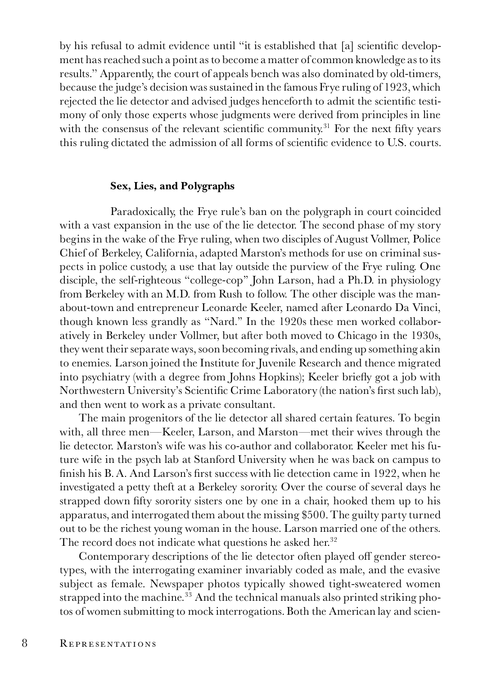by his refusal to admit evidence until "it is established that [a] scientific development hasreached such a point as to become a matter of common knowledge as to its results.'' Apparently, the court of appeals bench was also dominated by old-timers, because the judge's decision was sustained in the famous Frye ruling of 1923, which rejected the lie detector and advised judges henceforth to admit the scientific testimony of only those experts whose judgments were derived from principles in line with the consensus of the relevant scientific community.<sup>31</sup> For the next fifty years this ruling dictated the admission of all forms of scientific evidence to U.S. courts.

# **Sex, Lies, and Polygraphs**

Paradoxically, the Frye rule's ban on the polygraph in court coincided with a vast expansion in the use of the lie detector. The second phase of my story begins in the wake of the Frye ruling, when two disciples of August Vollmer, Police Chief of Berkeley, California, adapted Marston's methods for use on criminal suspects in police custody, a use that lay outside the purview of the Frye ruling. One disciple, the self-righteous ''college-cop'' John Larson, had a Ph.D. in physiology from Berkeley with an M.D. from Rush to follow. The other disciple was the manabout-town and entrepreneur Leonarde Keeler, named after Leonardo Da Vinci, though known less grandly as ''Nard.'' In the 1920s these men worked collaboratively in Berkeley under Vollmer, but after both moved to Chicago in the 1930s, they went their separateways, soon becoming rivals, and ending up something akin to enemies. Larson joined the Institute for Juvenile Research and thence migrated into psychiatry (with a degree from Johns Hopkins); Keeler briefly got a job with Northwestern University's Scientific Crime Laboratory (the nation's first such lab), and then went to work as a private consultant.

The main progenitors of the lie detector all shared certain features. To begin with, all three men—Keeler, Larson, and Marston—met their wives through the lie detector. Marston's wife was his co-author and collaborator. Keeler met his future wife in the psych lab at Stanford University when he was back on campus to finish his B. A. And Larson's first success with lie detection came in  $1922$ , when he investigated a petty theft at a Berkeley sorority. Over the course of several days he strapped down fifty sorority sisters one by one in a chair, hooked them up to his apparatus, and interrogated them about the missing \$500.The guilty party turned out to be the richest young woman in the house. Larson married one of the others. The record does not indicate what questions he asked her.<sup>32</sup>

Contemporary descriptions of the lie detector often played off gender stereotypes, with the interrogating examiner invariably coded as male, and the evasive subject as female. Newspaper photos typically showed tight-sweatered women strapped into the machine.<sup>33</sup> And the technical manuals also printed striking photos of women submitting to mock interrogations. Both the American lay and scien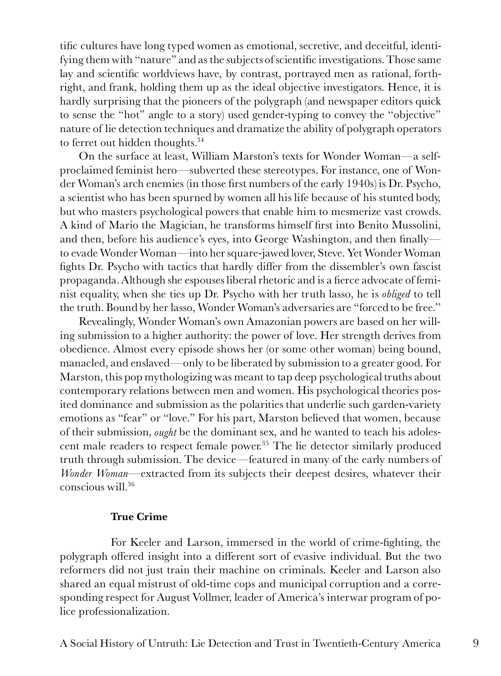tific cultures have long typed women as emotional, secretive, and deceitful, identifying them with "nature" and as the subjects of scientific investigations. Those same lay and scientific worldviews have, by contrast, portrayed men as rational, forthright, and frank, holding them up as the ideal objective investigators. Hence, it is hardly surprising that the pioneers of the polygraph (and newspaper editors quick to sense the ''hot'' angle to a story) used gender-typing to convey the ''objective'' nature of lie detection techniques and dramatize the ability of polygraph operators to ferret out hidden thoughts.<sup>34</sup>

On the surface at least, William Marston's texts for Wonder Woman—a selfproclaimed feminist hero—subverted these stereotypes. For instance, one of Wonder Woman's arch enemies (in those first numbers of the early 1940s) is Dr. Psycho, a scientist who has been spurned by women all his life because of his stunted body, but who masters psychological powers that enable him to mesmerize vast crowds. A kind of Mario the Magician, he transforms himself first into Benito Mussolini, and then, before his audience's eyes, into George Washington, and then finally to evade Wonder Woman—into hersquare-jawed lover, Steve. Yet Wonder Woman fights Dr. Psycho with tactics that hardly differ from the dissembler's own fascist propaganda. Although she espouses liberal rhetoric and is a fierce advocate of feminist equality, when she ties up Dr. Psycho with her truth lasso, he is *obliged* to tell the truth. Bound by her lasso, Wonder Woman's adversaries are ''forced to be free.''

Revealingly, Wonder Woman's own Amazonian powers are based on her willing submission to a higher authority: the power of love. Her strength derives from obedience. Almost every episode shows her (or some other woman) being bound, manacled, and enslaved—only to be liberated by submission to a greater good. For Marston, this pop mythologizing was meant to tap deep psychological truths about contemporary relations between men and women. His psychological theories posited dominance and submission as the polarities that underlie such garden-variety emotions as ''fear'' or ''love.'' For his part, Marston believed that women, because of their submission, *ought* be the dominant sex, and he wanted to teach his adolescent male readers to respect female power.<sup>35</sup> The lie detector similarly produced truth through submission. The device—featured in many of the early numbers of *Wonder Woman*—extracted from its subjects their deepest desires, whatever their conscious will.<sup>36</sup>

## **True Crime**

For Keeler and Larson, immersed in the world of crime-fighting, the polygraph offered insight into a different sort of evasive individual. But the two reformers did not just train their machine on criminals. Keeler and Larson also shared an equal mistrust of old-time cops and municipal corruption and a corresponding respect for August Vollmer, leader of America's interwar program of police professionalization.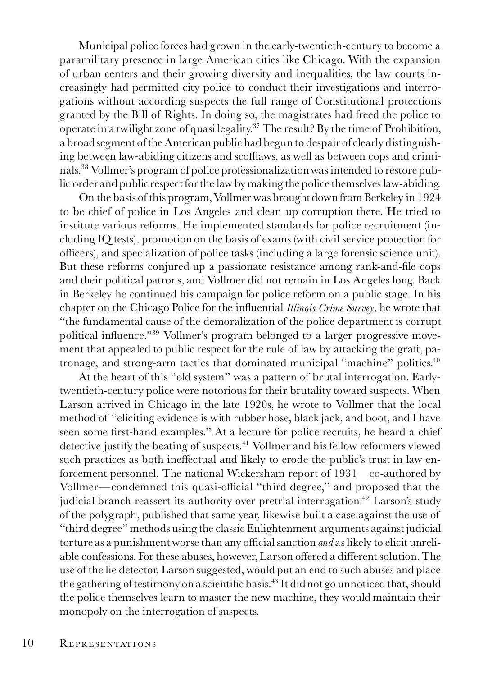Municipal police forces had grown in the early-twentieth-century to become a paramilitary presence in large American cities like Chicago. With the expansion of urban centers and their growing diversity and inequalities, the law courts increasingly had permitted city police to conduct their investigations and interrogations without according suspects the full range of Constitutional protections granted by the Bill of Rights. In doing so, the magistrates had freed the police to operate in a twilight zone of quasi legality.<sup>37</sup> The result? By the time of Prohibition, a broad segment of theAmerican public had begun to despair of clearly distinguishing between law-abiding citizens and scofflaws, as well as between cops and criminals.<sup>38</sup> Vollmer's program of police professionalizationwas intended to restore public order and public respectforthe law by making the police themselves law-abiding.

On the basis of this program,Vollmer was brought down from Berkeley in 1924 to be chief of police in Los Angeles and clean up corruption there. He tried to institute various reforms. He implemented standards for police recruitment (in cluding IQ tests), promotion on the basis of exams (with civil service protection for oYcers), and specialization of police tasks (including a large forensic science unit). But these reforms conjured up a passionate resistance among rank-and-file cops and their political patrons, and Vollmer did not remain in Los Angeles long. Back in Berkeley he continued his campaign for police reform on a public stage. In his chapter on the Chicago Police for the influential *Illinois Crime Survey*, he wrote that ''the fundamental cause of the demoralization of the police department is corrupt political influence."<sup>39</sup> Vollmer's program belonged to a larger progressive movement that appealed to public respect for the rule of law by attacking the graft, patronage, and strong-arm tactics that dominated municipal "machine" politics.<sup>40</sup>

At the heart of this ''old system'' was a pattern of brutal interrogation. Earlytwentieth-century police were notorious for their brutality toward suspects. When Larson arrived in Chicago in the late 1920s, he wrote to Vollmer that the local method of ''eliciting evidence is with rubber hose, black jack, and boot, and I have seen some first-hand examples." At a lecture for police recruits, he heard a chief detective justify the beating of suspects.<sup>41</sup> Vollmer and his fellow reformers viewed such practices as both ineffectual and likely to erode the public's trust in law enforcement personnel. The national Wickersham report of 1931—co-authored by Vollmer—condemned this quasi-official "third degree," and proposed that the judicial branch reassert its authority over pretrial interrogation.<sup>42</sup> Larson's study of the polygraph, published that same year, likewise built a case against the use of ''third degree'' methods using the classic Enlightenment arguments against judicial torture as a punishment worse than any official sanction *and* as likely to elicit unreliable confessions. For these abuses, however, Larson offered a different solution. The use of the lie detector, Larson suggested, would put an end to such abuses and place the gathering of testimony on a scientific basis.<sup>43</sup> It did not go unnoticed that, should the police themselves learn to master the new machine, they would maintain their monopoly on the interrogation of suspects.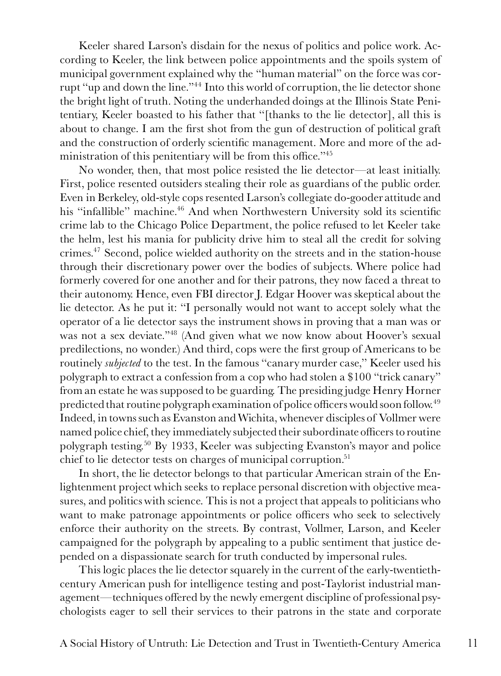Keeler shared Larson's disdain for the nexus of politics and police work. According to Keeler, the link between police appointments and the spoils system of municipal government explained why the ''human material'' on the force was corrupt "up and down the line."<sup>44</sup> Into this world of corruption, the lie detector shone the bright light of truth. Noting the underhanded doings at the Illinois State Penitentiary, Keeler boasted to his father that ''[thanks to the lie detector], all this is about to change. I am the first shot from the gun of destruction of political graft and the construction of orderly scientific management. More and more of the administration of this penitentiary will be from this office. $145$ 

No wonder, then, that most police resisted the lie detector—at least initially. First, police resented outsiders stealing their role as guardians of the public order. Even in Berkeley, old-style cops resented Larson's collegiate do-gooder attitude and his "infallible" machine.<sup>46</sup> And when Northwestern University sold its scientific crime lab to the Chicago Police Department, the police refused to let Keeler take the helm, lest his mania for publicity drive him to steal all the credit for solving crimes.<sup>47</sup> Second, police wielded authority on the streets and in the station-house through their discretionary power over the bodies of subjects. Where police had formerly covered for one another and for their patrons, they now faced a threat to their autonomy. Hence, even FBI director J. Edgar Hoover was skeptical about the lie detector. As he put it: ''I personally would not want to accept solely what the operator of a lie detector says the instrument shows in proving that a man was or was not a sex deviate.''<sup>48</sup> (And given what we now know about Hoover's sexual predilections, no wonder.) And third, cops were the first group of Americans to be routinely *subjected* to the test. In the famous ''canary murder case,'' Keeler used his polygraph to extract a confession from a cop who had stolen a \$100 ''trick canary'' from an estate he was supposed to be guarding. The presiding judge Henry Horner predicted that routine polygraph examination of police officers would soon follow.<sup>49</sup> Indeed, in townssuch as Evanston and Wichita, whenever disciples of Vollmer were named police chief, they immediately subjected their subordinate officers to routine polygraph testing.<sup>50</sup> By 1933, Keeler was subjecting Evanston's mayor and police chief to lie detector tests on charges of municipal corruption.<sup>51</sup>

In short, the lie detector belongs to that particular American strain of the Enlightenment project which seeks to replace personal discretion with objective measures, and politicswith science. This is not a project that appeals to politicians who want to make patronage appointments or police officers who seek to selectively enforce their authority on the streets. By contrast, Vollmer, Larson, and Keeler campaigned for the polygraph by appealing to a public sentiment that justice depended on a dispassionate search for truth conducted by impersonal rules.

This logic places the lie detector squarely in the current of the early-twentiethcentury American push for intelligence testing and post-Taylorist industrial management—techniques offered by the newly emergent discipline of professional psychologists eager to sell their services to their patrons in the state and corporate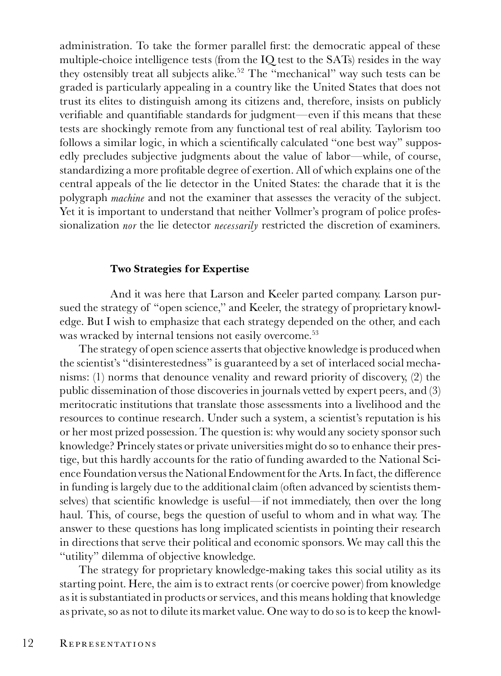administration. To take the former parallel first: the democratic appeal of these multiple-choice intelligence tests (from the IQ test to the SATs) resides in the way they ostensibly treat all subjects alike.<sup>52</sup> The "mechanical" way such tests can be graded is particularly appealing in a country like the United States that does not trust its elites to distinguish among its citizens and, therefore, insists on publicly verifiable and quantifiable standards for judgment—even if this means that these tests are shockingly remote from any functional test of real ability. Taylorism too follows a similar logic, in which a scientifically calculated "one best way" supposedly precludes subjective judgments about the value of labor—while, of course, standardizing a more protable degree of exertion. All of which explains one of the central appeals of the lie detector in the United States: the charade that it is the polygraph *machine* and not the examiner that assesses the veracity of the subject. Yet it is important to understand that neither Vollmer's program of police professionalization *nor* the lie detector *necessarily* restricted the discretion of examiners.

## **Two Strategies for Expertise**

And it was here that Larson and Keeler parted company. Larson pursued the strategy of ''open science,'' and Keeler, the strategy of proprietary knowledge. But I wish to emphasize that each strategy depended on the other, and each was wracked by internal tensions not easily overcome.<sup>53</sup>

The strategy of open science asserts that objective knowledge is producedwhen the scientist's ''disinterestedness'' is guaranteed by a set of interlaced social mechanisms: (1) norms that denounce venality and reward priority of discovery, (2) the public dissemination of those discoveries in journals vetted by expert peers, and (3) meritocratic institutions that translate those assessments into a livelihood and the resources to continue research. Under such a system, a scientist's reputation is his or her most prized possession. The question is: why would any society sponsor such knowledge? Princely states or private universities might do so to enhance their prestige, but this hardly accounts for the ratio of funding awarded to the National Science Foundation versus the National Endowment for the Arts. In fact, the difference in funding is largely due to the additional claim (often advanced by scientists themselves) that scientific knowledge is useful—if not immediately, then over the long haul. This, of course, begs the question of useful to whom and in what way. The answer to these questions has long implicated scientists in pointing their research in directions that serve their political and economic sponsors. We may call this the ''utility'' dilemma of objective knowledge.

The strategy for proprietary knowledge-making takes this social utility as its starting point. Here, the aim is to extract rents (or coercive power) from knowledge as it is substantiated in products orservices, and this means holding that knowledge as private, so as not to dilute its market value. One way to do so is to keep the knowl-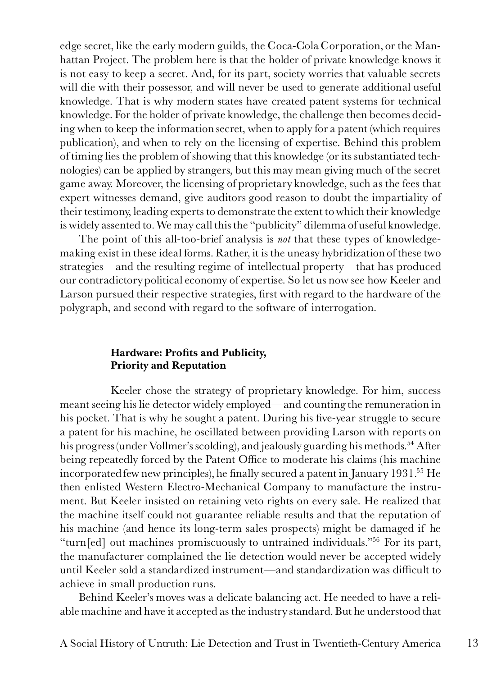edge secret, like the early modern guilds, the Coca-Cola Corporation, or the Manhattan Project. The problem here is that the holder of private knowledge knows it is not easy to keep a secret. And, for its part, society worries that valuable secrets will die with their possessor, and will never be used to generate additional useful knowledge. That is why modern states have created patent systems for technical knowledge. For the holder of private knowledge, the challenge then becomes deciding when to keep the information secret, when to apply for a patent (which requires publication), and when to rely on the licensing of expertise. Behind this problem of timing lies the problem of showing that this knowledge (or its substantiated technologies) can be applied by strangers, but this may mean giving much of the secret game away. Moreover, the licensing of proprietary knowledge, such as the fees that expert witnesses demand, give auditors good reason to doubt the impartiality of their testimony, leading experts to demonstrate the extent towhich their knowledge is widely assented to.We may call this the ''publicity'' dilemma of useful knowledge.

The point of this all-too-brief analysis is *not* that these types of knowledgemaking exist in these ideal forms. Rather, it is the uneasy hybridization of these two strategies—and the resulting regime of intellectual property—that has produced our contradictory political economy of expertise. So let us now see how Keeler and Larson pursued their respective strategies, first with regard to the hardware of the polygraph, and second with regard to the software of interrogation.

# **Hardware: Profits and Publicity, Priority and Reputation**

Keeler chose the strategy of proprietary knowledge. For him, success meant seeing his lie detector widely employed—and counting the remuneration in his pocket. That is why he sought a patent. During his five-year struggle to secure a patent for his machine, he oscillated between providing Larson with reports on his progress (under Vollmer's scolding), and jealously guarding his methods.<sup>54</sup> After being repeatedly forced by the Patent Office to moderate his claims (his machine incorporated few new principles), he finally secured a patent in January 1931.<sup>55</sup> He then enlisted Western Electro-Mechanical Company to manufacture the instrument. But Keeler insisted on retaining veto rights on every sale. He realized that the machine itself could not guarantee reliable results and that the reputation of his machine (and hence its long-term sales prospects) might be damaged if he ''turn[ed] out machines promiscuously to untrained individuals.''<sup>56</sup> For its part, the manufacturer complained the lie detection would never be accepted widely until Keeler sold a standardized instrument—and standardization was difficult to achieve in small production runs.

Behind Keeler's moves was a delicate balancing act. He needed to have a reliable machine and have it accepted as the industry standard. But he understood that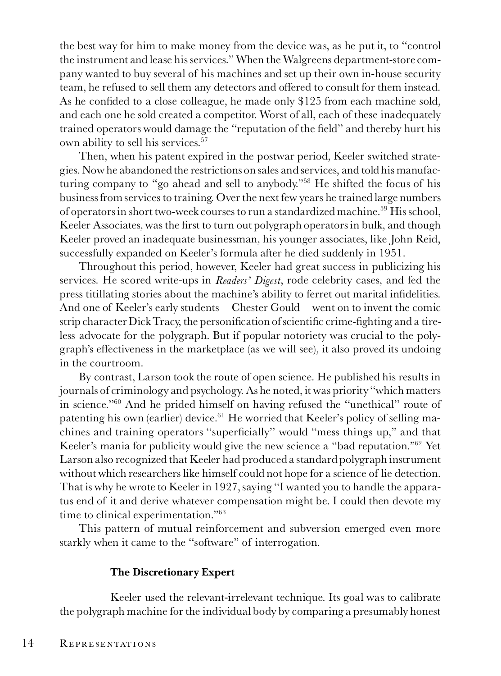the best way for him to make money from the device was, as he put it, to ''control the instrument and lease his services.'' When the Walgreens department-store company wanted to buy several of his machines and set up their own in-house security team, he refused to sell them any detectors and offered to consult for them instead. As he confided to a close colleague, he made only  $$125$  from each machine sold, and each one he sold created a competitor. Worst of all, each of these inadequately trained operators would damage the "reputation of the field" and thereby hurt his own ability to sell his services.<sup>57</sup>

Then, when his patent expired in the postwar period, Keeler switched strategies. Nowhe abandoned the restrictions on sales and services, and told his manufacturing company to ''go ahead and sell to anybody.''<sup>58</sup> He shifted the focus of his businessfrom services to training. Over the next few years he trained large numbers of operatorsin short two-week courses to run a standardized machine.<sup>59</sup> His school, Keeler Associates, was the first to turn out polygraph operators in bulk, and though Keeler proved an inadequate businessman, his younger associates, like John Reid, successfully expanded on Keeler's formula after he died suddenly in 1951.

Throughout this period, however, Keeler had great success in publicizing his services. He scored write-ups in *Readers' Digest*, rode celebrity cases, and fed the press titillating stories about the machine's ability to ferret out marital infidelities. And one of Keeler's early students—Chester Gould—went on to invent the comic strip character Dick Tracy, the personification of scientific crime-fighting and a tireless advocate for the polygraph. But if popular notoriety was crucial to the polygraph's effectiveness in the marketplace (as we will see), it also proved its undoing in the courtroom.

By contrast, Larson took the route of open science. He published his results in journals of criminology and psychology. As he noted, it was priority ''which matters in science.''<sup>60</sup> And he prided himself on having refused the ''unethical'' route of patenting his own (earlier) device.<sup>61</sup> He worried that Keeler's policy of selling machines and training operators "superficially" would "mess things up," and that Keeler's mania for publicity would give the new science a ''bad reputation.''<sup>62</sup> Yet Larson also recognized that Keeler had produced a standard polygraph instrument without which researchers like himself could not hope for a science of lie detection. That is why he wrote to Keeler in 1927,saying ''I wanted you to handle the apparatus end of it and derive whatever compensation might be. I could then devote my time to clinical experimentation."<sup>63</sup>

This pattern of mutual reinforcement and subversion emerged even more starkly when it came to the ''software'' of interrogation.

# **The Discretionary Expert**

Keeler used the relevant-irrelevant technique. Its goal was to calibrate the polygraph machine for the individual body by comparing a presumably honest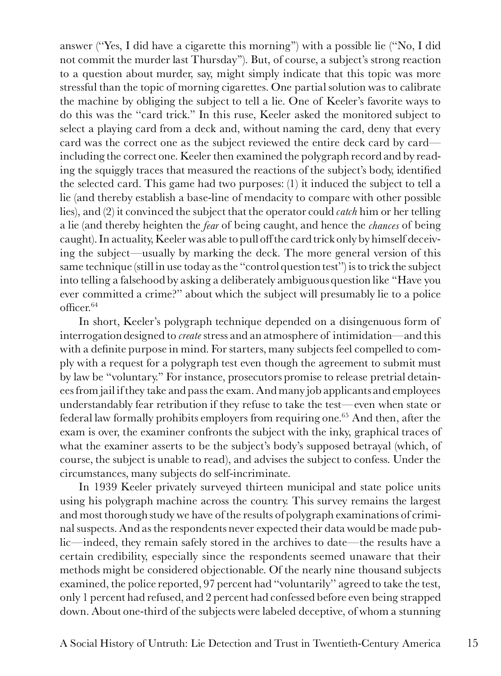answer (''Yes, I did have a cigarette this morning'') with a possible lie (''No, I did not commit the murder last Thursday''). But, of course, a subject's strong reaction to a question about murder, say, might simply indicate that this topic was more stressful than the topic of morning cigarettes. One partial solution was to calibrate the machine by obliging the subject to tell a lie. One of Keeler's favorite ways to do this was the ''card trick.'' In this ruse, Keeler asked the monitored subject to select a playing card from a deck and, without naming the card, deny that every card was the correct one as the subject reviewed the entire deck card by card including the correct one. Keeler then examined the polygraph record and by reading the squiggly traces that measured the reactions of the subject's body, identified the selected card. This game had two purposes: (1) it induced the subject to tell a lie (and thereby establish a base-line of mendacity to compare with other possible lies), and (2) it convinced the subject that the operator could *catch* him or her telling a lie (and thereby heighten the *fear* of being caught, and hence the *chances* of being caught). In actuality, Keeler was able to pull off the card trick only by himself deceiving the subject—usually by marking the deck. The more general version of this same technique (still in use today as the ''control question test'') is to trick the subject into telling a falsehood by asking a deliberately ambiguousquestion like ''Have you ever committed a crime?'' about which the subject will presumably lie to a police  $officer.^{64}$ 

In short, Keeler's polygraph technique depended on a disingenuous form of interrogation designed to *create* stress and an atmosphere of intimidation—and this with a definite purpose in mind. For starters, many subjects feel compelled to comply with a request for a polygraph test even though the agreement to submit must by law be ''voluntary.'' For instance, prosecutors promise to release pretrial detainees from jail if they take and pass the exam. And many job applicants and employees understandably fear retribution if they refuse to take the test—even when state or federal law formally prohibits employers from requiring one.<sup>65</sup> And then, after the exam is over, the examiner confronts the subject with the inky, graphical traces of what the examiner asserts to be the subject's body's supposed betrayal (which, of course, the subject is unable to read), and advises the subject to confess. Under the circumstances, many subjects do self-incriminate.

In 1939 Keeler privately surveyed thirteen municipal and state police units using his polygraph machine across the country. This survey remains the largest and most thorough study we have of the results of polygraph examinations of criminal suspects. And as the respondents never expected their data would be made public—indeed, they remain safely stored in the archives to date—the results have a certain credibility, especially since the respondents seemed unaware that their methods might be considered objectionable. Of the nearly nine thousand subjects examined, the police reported, 97 percent had ''voluntarily'' agreed to take the test, only 1 percent had refused, and 2 percent had confessed before even being strapped down. About one-third of the subjects were labeled deceptive, of whom a stunning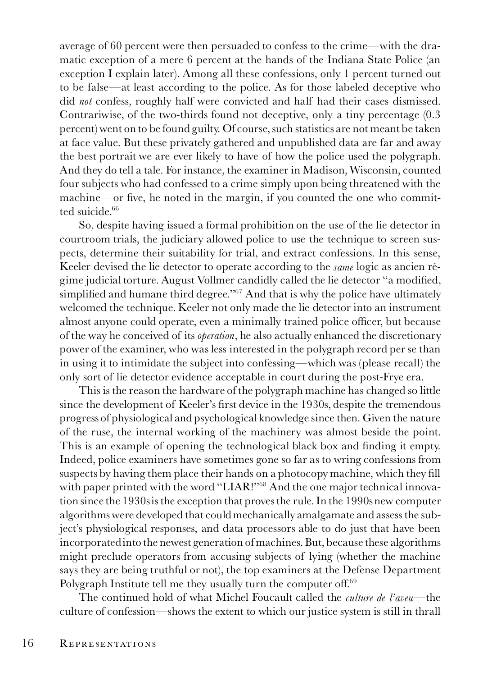average of 60 percent were then persuaded to confess to the crime—with the dramatic exception of a mere 6 percent at the hands of the Indiana State Police (an exception I explain later). Among all these confessions, only 1 percent turned out to be false—at least according to the police. As for those labeled deceptive who did *not* confess, roughly half were convicted and half had their cases dismissed. Contrariwise, of the two-thirds found not deceptive, only a tiny percentage (0.3 percent) went on to be found guilty. Of course,such statistics are not meant be taken at face value. But these privately gathered and unpublished data are far and away the best portrait we are ever likely to have of how the police used the polygraph. And they do tell a tale. For instance, the examiner in Madison, Wisconsin, counted four subjects who had confessed to a crime simply upon being threatened with the machine—or five, he noted in the margin, if you counted the one who committed suicide.<sup>66</sup>

So, despite having issued a formal prohibition on the use of the lie detector in courtroom trials, the judiciary allowed police to use the technique to screen suspects, determine their suitability for trial, and extract confessions. In this sense, Keeler devised the lie detector to operate according to the *same* logic as ancien régime judicial torture. August Vollmer candidly called the lie detector "a modified, simplified and humane third degree." $67$  And that is why the police have ultimately welcomed the technique. Keeler not only made the lie detector into an instrument almost anyone could operate, even a minimally trained police officer, but because of the way he conceived of its *operation*, he also actually enhanced the discretionary power of the examiner, who was less interested in the polygraph record per se than in using it to intimidate the subject into confessing—which was (please recall) the only sort of lie detector evidence acceptable in court during the post-Frye era.

This is the reason the hardware of the polygraph machine has changed so little since the development of Keeler's first device in the 1930s, despite the tremendous progress of physiological and psychological knowledge since then. Given the nature of the ruse, the internal working of the machinery was almost beside the point. This is an example of opening the technological black box and finding it empty. Indeed, police examiners have sometimes gone so far as to wring confessions from suspects by having them place their hands on a photocopy machine, which they fill with paper printed with the word "LIAR!"<sup>68</sup> And the one major technical innovation since the 1930sis the exception that provesthe rule.In the 1990s new computer algorithmswere developed that could mechanically amalgamate and assess the subject's physiological responses, and data processors able to do just that have been incorporatedinto the newest generation of machines. But, because these algorithms might preclude operators from accusing subjects of lying (whether the machine says they are being truthful or not), the top examiners at the Defense Department Polygraph Institute tell me they usually turn the computer off.<sup>69</sup>

The continued hold of what Michel Foucault called the *culture de l'aveu*—the culture of confession—shows the extent to which our justice system is still in thrall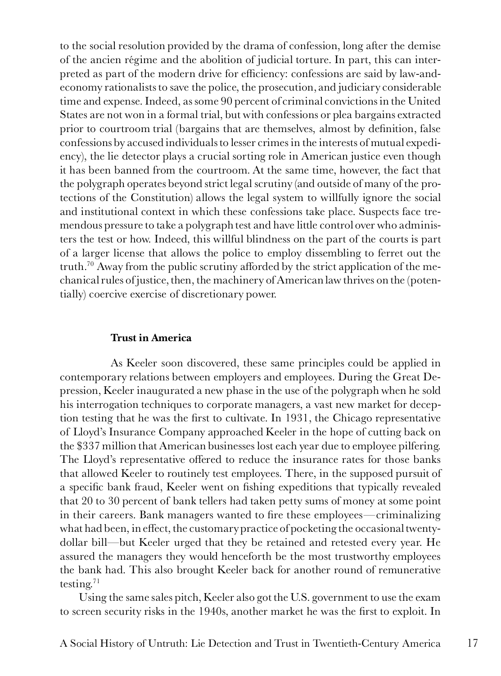to the social resolution provided by the drama of confession, long after the demise of the ancien régime and the abolition of judicial torture. In part, this can interpreted as part of the modern drive for efficiency: confessions are said by law-andeconomy rationalists to save the police, the prosecution, and judiciary considerable time and expense. Indeed, as some 90 percent of criminal convictions in the United States are not won in a formal trial, but with confessions or plea bargains extracted prior to courtroom trial (bargains that are themselves, almost by definition, false confessions by accused individualsto lesser crimes in the interests of mutual expediency), the lie detector plays a crucial sorting role in American justice even though it has been banned from the courtroom. At the same time, however, the fact that the polygraph operates beyond strict legal scrutiny (and outside of many of the protections of the Constitution) allows the legal system to willfully ignore the social and institutional context in which these confessions take place. Suspects face tremendous pressure to take a polygraph test and have little control over who administers the test or how. Indeed, this willful blindness on the part of the courts is part of a larger license that allows the police to employ dissembling to ferret out the truth.<sup>70</sup> Away from the public scrutiny afforded by the strict application of the mechanical rules of justice, then, the machinery of American law thrives on the (potentially) coercive exercise of discretionary power.

## **Trust in America**

As Keeler soon discovered, these same principles could be applied in contemporary relations between employers and employees. During the Great Depression, Keeler inaugurated a new phase in the use of the polygraph when he sold his interrogation techniques to corporate managers, a vast new market for deception testing that he was the first to cultivate. In  $1931$ , the Chicago representative of Lloyd's Insurance Company approached Keeler in the hope of cutting back on the \$337 million that American businesses lost each year due to employee pilfering. The Lloyd's representative offered to reduce the insurance rates for those banks that allowed Keeler to routinely test employees. There, in the supposed pursuit of a specific bank fraud, Keeler went on fishing expeditions that typically revealed that 20 to 30 percent of bank tellers had taken petty sums of money at some point in their careers. Bank managers wanted to fire these employees—criminalizing what had been, in effect, the customary practice of pocketing the occasional twentydollar bill—but Keeler urged that they be retained and retested every year. He assured the managers they would henceforth be the most trustworthy employees the bank had. This also brought Keeler back for another round of remunerative testing. $71$ 

Using the same sales pitch, Keeler also got the U.S. government to use the exam to screen security risks in the 1940s, another market he was the first to exploit. In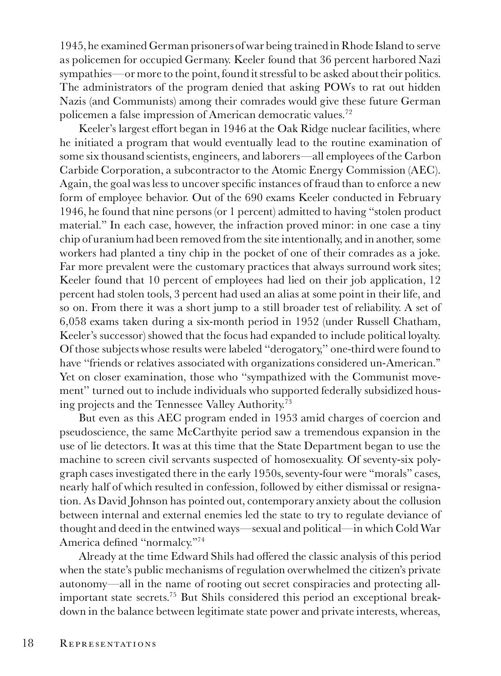1945,he examined German prisonersofwar being trained in Rhode Island to serve as policemen for occupied Germany. Keeler found that 36 percent harbored Nazi sympathies—or more to the point, found it stressful to be asked about their politics. The administrators of the program denied that asking POWs to rat out hidden Nazis (and Communists) among their comrades would give these future German policemen a false impression of American democratic values.<sup>72</sup>

Keeler's largest effort began in 1946 at the Oak Ridge nuclear facilities, where he initiated a program that would eventually lead to the routine examination of some six thousand scientists, engineers, and laborers—all employees of the Carbon Carbide Corporation, a subcontractor to the Atomic Energy Commission (AEC). Again, the goal was less to uncover specific instances of fraud than to enforce a new form of employee behavior. Out of the 690 exams Keeler conducted in February 1946, he found that nine persons (or 1 percent) admitted to having ''stolen product material.'' In each case, however, the infraction proved minor: in one case a tiny chip of uranium had been removed from the site intentionally, and in another, some workers had planted a tiny chip in the pocket of one of their comrades as a joke. Far more prevalent were the customary practices that always surround work sites; Keeler found that 10 percent of employees had lied on their job application, 12 percent had stolen tools, 3 percent had used an alias at some point in their life, and so on. From there it was a short jump to a still broader test of reliability. A set of 6,058 exams taken during a six-month period in 1952 (under Russell Chatham, Keeler's successor) showed that the focus had expanded to include political loyalty. Of those subjects whose results were labeled ''derogatory,'' one-third were found to have "friends or relatives associated with organizations considered un-American." Yet on closer examination, those who ''sympathized with the Communist movement'' turned out to include individuals who supported federally subsidized housing projects and the Tennessee Valley Authority.<sup>73</sup>

But even as this AEC program ended in 1953 amid charges of coercion and pseudoscience, the same McCarthyite period saw a tremendous expansion in the use of lie detectors. It was at this time that the State Department began to use the machine to screen civil servants suspected of homosexuality. Of seventy-six polygraph cases investigated there in the early 1950s,seventy-four were ''morals'' cases, nearly half of which resulted in confession, followed by either dismissal or resignation. As David Johnson has pointed out, contemporary anxiety about the collusion between internal and external enemies led the state to try to regulate deviance of thought and deed in the entwined ways—sexual and political—in which Cold War America defined "normalcy."<sup>74</sup>

Already at the time Edward Shils had offered the classic analysis of this period when the state's public mechanisms of regulation overwhelmed the citizen's private autonomy—all in the name of rooting out secret conspiracies and protecting allimportant state secrets.<sup>75</sup> But Shils considered this period an exceptional breakdown in the balance between legitimate state power and private interests, whereas,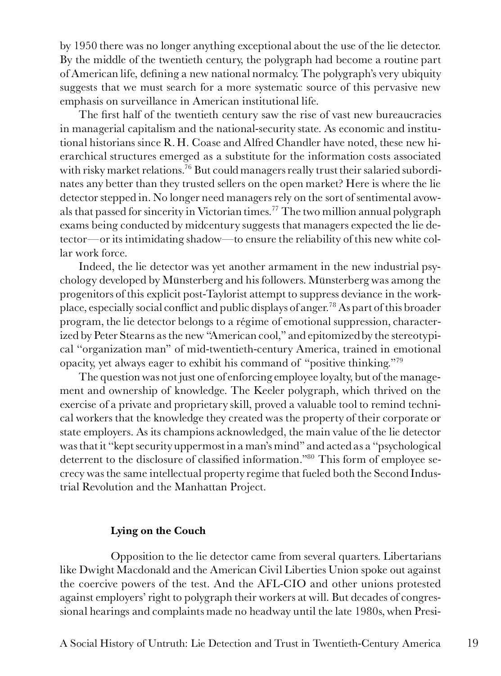by 1950 there was no longer anything exceptional about the use of the lie detector. By the middle of the twentieth century, the polygraph had become a routine part of American life, defining a new national normalcy. The polygraph's very ubiquity suggests that we must search for a more systematic source of this pervasive new emphasis on surveillance in American institutional life.

The first half of the twentieth century saw the rise of vast new bureaucracies in managerial capitalism and the national-security state. As economic and institutional historians since R. H. Coase and Alfred Chandler have noted, these new hierarchical structures emerged as a substitute for the information costs associated with risky market relations.<sup>76</sup> But could managers really trust their salaried subordinates any better than they trusted sellers on the open market? Here is where the lie detector stepped in. No longer need managers rely on the sort of sentimental avowals that passed for sincerity in Victorian times.<sup>77</sup> The two million annual polygraph exams being conducted by midcentury suggests that managers expected the lie detector—or its intimidating shadow—to ensure the reliability of this new white collar work force.

Indeed, the lie detector was yet another armament in the new industrial psychology developed by Münsterberg and his followers. Münsterberg was among the progenitors of this explicit post-Taylorist attempt to suppress deviance in the workplace, especially social conflict and public displays of anger.<sup>78</sup> As part of this broader program, the lie detector belongs to a régime of emotional suppression, characterized by Peter Stearns as the new ''American cool,'' and epitomized by the stereotypical ''organization man'' of mid-twentieth-century America, trained in emotional opacity, yet always eager to exhibit his command of ''positive thinking.''<sup>79</sup>

The question was not just one of enforcing employee loyalty, but of the management and ownership of knowledge. The Keeler polygraph, which thrived on the exercise of a private and proprietary skill, proved a valuable tool to remind technical workers that the knowledge they created was the property of their corporate or state employers. As its champions acknowledged, the main value of the lie detector wasthat it ''kept security uppermost in a man's mind'' and acted as a ''psychological deterrent to the disclosure of classified information."<sup>80</sup> This form of employee secrecy was the same intellectual property regime that fueled both the Second Industrial Revolution and the Manhattan Project.

# **Lying on the Couch**

Opposition to the lie detector came from several quarters. Libertarians like Dwight Macdonald and the American Civil Liberties Union spoke out against the coercive powers of the test. And the AFL-CIO and other unions protested against employers' right to polygraph their workers at will. But decades of congressional hearings and complaints made no headway until the late 1980s, when Presi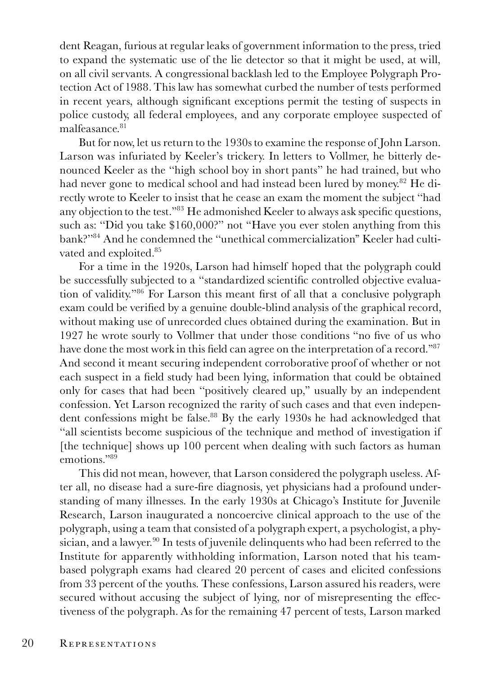dent Reagan, furious at regular leaks of government information to the press, tried to expand the systematic use of the lie detector so that it might be used, at will, on all civil servants. A congressional backlash led to the Employee Polygraph Protection Act of 1988.This law has somewhat curbed the number of tests performed in recent years, although significant exceptions permit the testing of suspects in police custody, all federal employees, and any corporate employee suspected of malfeasance.<sup>81</sup>

But for now, let us return to the 1930s to examine the response of John Larson. Larson was infuriated by Keeler's trickery. In letters to Vollmer, he bitterly denounced Keeler as the ''high school boy in short pants'' he had trained, but who had never gone to medical school and had instead been lured by money.<sup>82</sup> He directly wrote to Keeler to insist that he cease an exam the moment the subject ''had any objection to the test." $83$  He admonished Keeler to always ask specific questions, such as: ''Did you take \$160,000?'' not ''Have you ever stolen anything from this bank?''<sup>84</sup> And he condemned the ''unethical commercialization'' Keeler had cultivated and exploited.<sup>85</sup>

For a time in the 1920s, Larson had himself hoped that the polygraph could be successfully subjected to a "standardized scientific controlled objective evaluation of validity."<sup>86</sup> For Larson this meant first of all that a conclusive polygraph exam could be verified by a genuine double-blind analysis of the graphical record, without making use of unrecorded clues obtained during the examination. But in 1927 he wrote sourly to Vollmer that under those conditions "no five of us who have done the most work in this field can agree on the interpretation of a record.<sup>"87</sup> And second it meant securing independent corroborative proof of whether or not each suspect in a field study had been lying, information that could be obtained only for cases that had been ''positively cleared up,'' usually by an independent confession. Yet Larson recognized the rarity of such cases and that even independent confessions might be false.<sup>88</sup> By the early 1930s he had acknowledged that ''all scientists become suspicious of the technique and method of investigation if [the technique] shows up 100 percent when dealing with such factors as human emotions."<sup>89</sup>

This did not mean, however, that Larson considered the polygraph useless. After all, no disease had a sure-fire diagnosis, yet physicians had a profound understanding of many illnesses. In the early 1930s at Chicago's Institute for Juvenile Research, Larson inaugurated a noncoercive clinical approach to the use of the polygraph, using a team that consisted of a polygraph expert, a psychologist, a physician, and a lawyer.<sup>90</sup> In tests of juvenile delinquents who had been referred to the Institute for apparently withholding information, Larson noted that his teambased polygraph exams had cleared 20 percent of cases and elicited confessions from 33 percent of the youths. These confessions, Larson assured his readers, were secured without accusing the subject of lying, nor of misrepresenting the effectiveness of the polygraph. As for the remaining 47 percent of tests, Larson marked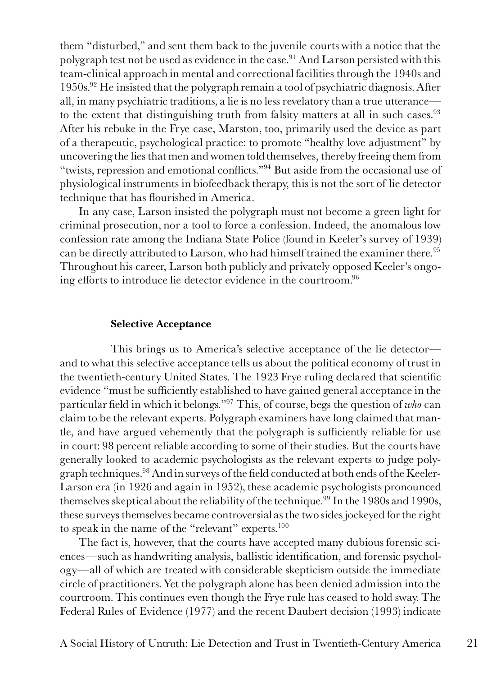them ''disturbed,'' and sent them back to the juvenile courts with a notice that the polygraph test not be used as evidence in the case.<sup>91</sup> And Larson persisted with this team-clinical approach in mental and correctional facilities through the 1940s and 1950s.<sup>92</sup> He insisted that the polygraph remain a tool of psychiatric diagnosis.After all, in many psychiatric traditions, a lie is no less revelatory than a true utterance to the extent that distinguishing truth from falsity matters at all in such cases.  $93$ After his rebuke in the Frye case, Marston, too, primarily used the device as part of a therapeutic, psychological practice: to promote ''healthy love adjustment'' by uncovering the lies that men and women told themselves, thereby freeing them from "twists, repression and emotional conflicts."<sup>94</sup> But aside from the occasional use of physiological instruments in biofeedback therapy, this is not the sort of lie detector technique that has flourished in America.

In any case, Larson insisted the polygraph must not become a green light for criminal prosecution, nor a tool to force a confession. Indeed, the anomalous low confession rate among the Indiana State Police (found in Keeler's survey of 1939) can be directly attributed to Larson, who had himself trained the examiner there.<sup>95</sup> Throughout his career, Larson both publicly and privately opposed Keeler's ongoing efforts to introduce lie detector evidence in the courtroom.<sup>96</sup>

#### **Selective Acceptance**

This brings us to America's selective acceptance of the lie detector and to what this selective acceptance tells us about the political economy of trust in the twentieth-century United States. The 1923 Frye ruling declared that scientific evidence "must be sufficiently established to have gained general acceptance in the particular field in which it belongs."<sup>97</sup> This, of course, begs the question of  $who$  can claim to be the relevant experts. Polygraph examiners have long claimed that mantle, and have argued vehemently that the polygraph is sufficiently reliable for use in court: 98 percent reliable according to some of their studies. But the courts have generally looked to academic psychologists as the relevant experts to judge polygraph techniques.<sup>98</sup> And in surveys of the field conducted at both ends of the Keeler-Larson era (in 1926 and again in 1952), these academic psychologists pronounced themselves skeptical about the reliability of the technique.<sup>99</sup> In the 1980s and 1990s, these surveys themselves became controversial as the two sides jockeyed forthe right to speak in the name of the "relevant" experts.<sup>100</sup>

The fact is, however, that the courts have accepted many dubious forensic sciences—such as handwriting analysis, ballistic identification, and forensic psychology—all of which are treated with considerable skepticism outside the immediate circle of practitioners. Yet the polygraph alone has been denied admission into the courtroom.This continues even though the Frye rule has ceased to hold sway. The Federal Rules of Evidence (1977) and the recent Daubert decision (1993) indicate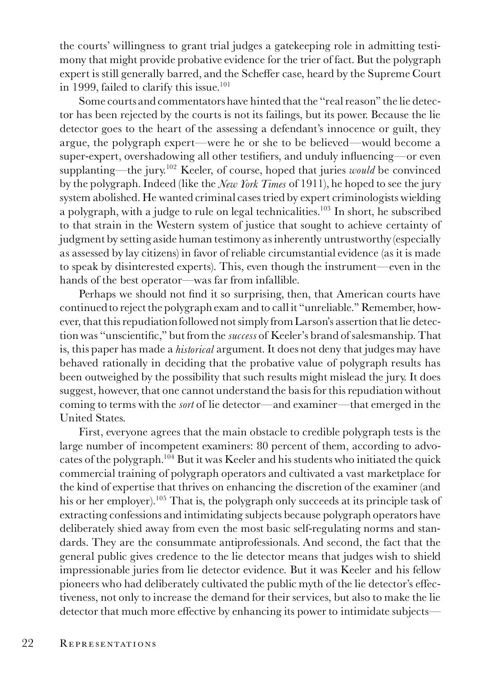the courts' willingness to grant trial judges a gatekeeping role in admitting testimony that might provide probative evidence for the trier of fact. But the polygraph expert is still generally barred, and the Scheffer case, heard by the Supreme Court in 1999, failed to clarify this issue.<sup>101</sup>

Some courts and commentators have hinted that the "real reason" the lie detector has been rejected by the courts is not its failings, but its power. Because the lie detector goes to the heart of the assessing a defendant's innocence or guilt, they argue, the polygraph expert—were he or she to be believed—would become a super-expert, overshadowing all other testifiers, and unduly influencing—or even supplanting—the jury.<sup>102</sup> Keeler, of course, hoped that juries *would* be convinced by the polygraph. Indeed (like the *New York Times* of 1911), he hoped to see the jury system abolished. He wanted criminal cases tried by expert criminologists wielding a polygraph, with a judge to rule on legal technicalities.<sup>103</sup> In short, he subscribed to that strain in the Western system of justice that sought to achieve certainty of judgment by setting aside human testimony as inherently untrustworthy (especially as assessed by lay citizens) in favor of reliable circumstantial evidence (as it is made to speak by disinterested experts). This, even though the instrument—even in the hands of the best operator—was far from infallible.

Perhaps we should not find it so surprising, then, that American courts have continued to reject the polygraph exam and to call it ''unreliable.'' Remember, however, that thisrepudiationfollowed notsimply from Larson's assertion that lie detection was "unscientific," but from the *success* of Keeler's brand of salesmanship. That is, this paper has made a *historical* argument. It does not deny that judges may have behaved rationally in deciding that the probative value of polygraph results has been outweighed by the possibility that such results might mislead the jury. It does suggest, however, that one cannot understand the basis for this repudiationwithout coming to terms with the *sort* of lie detector—and examiner—that emerged in the United States.

First, everyone agrees that the main obstacle to credible polygraph tests is the large number of incompetent examiners: 80 percent of them, according to advocates of the polygraph.<sup>104</sup> But it was Keeler and his students who initiated the quick commercial training of polygraph operators and cultivated a vast marketplace for the kind of expertise that thrives on enhancing the discretion of the examiner (and his or her employer).<sup>105</sup> That is, the polygraph only succeeds at its principle task of extracting confessions and intimidating subjects because polygraph operators have deliberately shied away from even the most basic self-regulating norms and standards. They are the consummate antiprofessionals. And second, the fact that the general public gives credence to the lie detector means that judges wish to shield impressionable juries from lie detector evidence. But it was Keeler and his fellow pioneers who had deliberately cultivated the public myth of the lie detector's effectiveness, not only to increase the demand for their services, but also to make the lie detector that much more effective by enhancing its power to intimidate subjects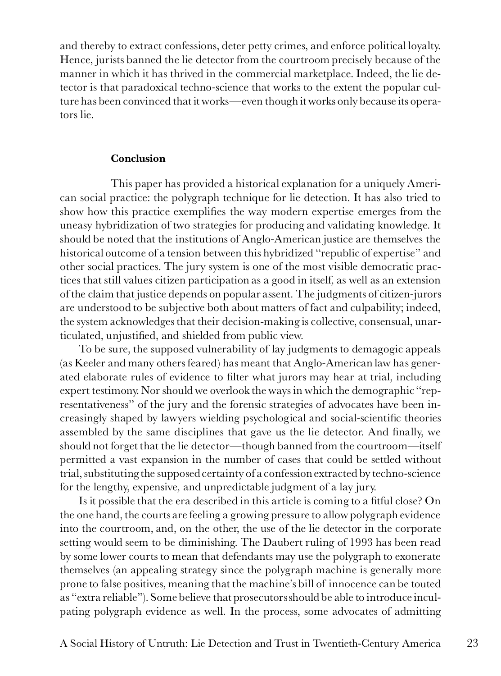and thereby to extract confessions, deter petty crimes, and enforce political loyalty. Hence, jurists banned the lie detector from the courtroom precisely because of the manner in which it has thrived in the commercial marketplace. Indeed, the lie detector is that paradoxical techno-science that works to the extent the popular culture has been convinced that itworks—even though itworks only because its operators lie.

## **Conclusion**

This paper has provided a historical explanation for a uniquely American social practice: the polygraph technique for lie detection. It has also tried to show how this practice exemplifies the way modern expertise emerges from the uneasy hybridization of two strategies for producing and validating knowledge. It should be noted that the institutions of Anglo-American justice are themselves the historical outcome of a tension between this hybridized ''republic of expertise'' and other social practices. The jury system is one of the most visible democratic practices that still values citizen participation as a good in itself, as well as an extension of the claim that justice depends on popular assent. The judgments of citizen-jurors are understood to be subjective both about matters of fact and culpability; indeed, the system acknowledges that their decision-making is collective, consensual, unarticulated, unjustified, and shielded from public view.

To be sure, the supposed vulnerability of lay judgments to demagogic appeals (as Keeler and many others feared) has meant that Anglo-American law has generated elaborate rules of evidence to filter what jurors may hear at trial, including expert testimony. Nor should we overlook the ways in which the demographic ''representativeness'' of the jury and the forensic strategies of advocates have been increasingly shaped by lawyers wielding psychological and social-scientific theories assembled by the same disciplines that gave us the lie detector. And finally, we should not forget that the lie detector—though banned from the courtroom—itself permitted a vast expansion in the number of cases that could be settled without trial, substituting the supposed certainty of a confession extracted by techno-science for the lengthy, expensive, and unpredictable judgment of a lay jury.

Is it possible that the era described in this article is coming to a fitful close? On the one hand, the courts are feeling a growing pressure to allowpolygraph evidence into the courtroom, and, on the other, the use of the lie detector in the corporate setting would seem to be diminishing. The Daubert ruling of 1993 has been read by some lower courts to mean that defendants may use the polygraph to exonerate themselves (an appealing strategy since the polygraph machine is generally more prone to false positives, meaning that the machine's bill of innocence can be touted as ''extra reliable''). Some believe that prosecutorsshould be able to introduce inculpating polygraph evidence as well. In the process, some advocates of admitting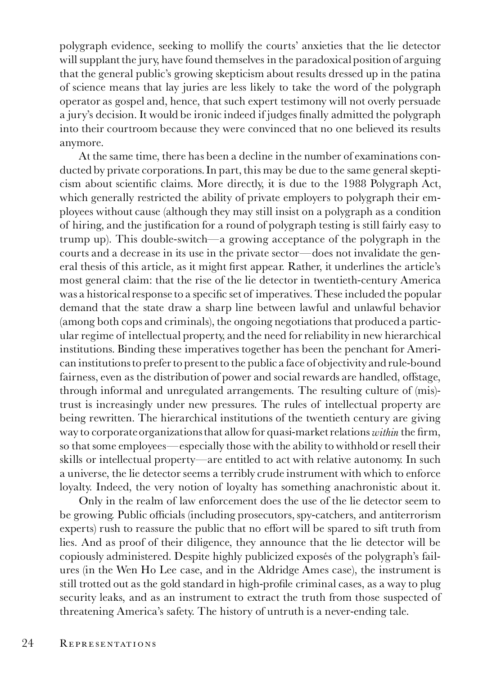polygraph evidence, seeking to mollify the courts' anxieties that the lie detector will supplant the jury, have found themselves in the paradoxical position of arguing that the general public's growing skepticism about results dressed up in the patina of science means that lay juries are less likely to take the word of the polygraph operator as gospel and, hence, that such expert testimony will not overly persuade a jury's decision. It would be ironic indeed if judges finally admitted the polygraph into their courtroom because they were convinced that no one believed its results anymore.

At the same time, there has been a decline in the number of examinations conducted by private corporations.In part, this may be due to the same general skepticism about scientific claims. More directly, it is due to the 1988 Polygraph Act, which generally restricted the ability of private employers to polygraph their employees without cause (although they may still insist on a polygraph as a condition of hiring, and the justification for a round of polygraph testing is still fairly easy to trump up). This double-switch—a growing acceptance of the polygraph in the courts and a decrease in its use in the private sector—does not invalidate the general thesis of this article, as it might first appear. Rather, it underlines the article's most general claim: that the rise of the lie detector in twentieth-century America was a historical response to a specific set of imperatives. These included the popular demand that the state draw a sharp line between lawful and unlawful behavior (among both cops and criminals), the ongoing negotiations that produced a particular regime of intellectual property, and the need forreliability in new hierarchical institutions. Binding these imperatives together has been the penchant for American institutionsto preferto present to the public a face of objectivity and rule-bound fairness, even as the distribution of power and social rewards are handled, offstage, through informal and unregulated arrangements. The resulting culture of (mis) trust is increasingly under new pressures. The rules of intellectual property are being rewritten. The hierarchical institutions of the twentieth century are giving way to corporate organizations that allow for quasi-market relations *within* the firm, so that some employees—especially those with the ability to withhold orresell their skills or intellectual property—are entitled to act with relative autonomy. In such a universe, the lie detector seems a terribly crude instrument with which to enforce loyalty. Indeed, the very notion of loyalty has something anachronistic about it.

Only in the realm of law enforcement does the use of the lie detector seem to be growing. Public officials (including prosecutors, spy-catchers, and antiterrorism experts) rush to reassure the public that no effort will be spared to sift truth from lies. And as proof of their diligence, they announce that the lie detector will be copiously administered. Despite highly publicized exposes of the polygraph's failures (in the Wen Ho Lee case, and in the Aldridge Ames case), the instrument is still trotted out as the gold standard in high-profile criminal cases, as a way to plug security leaks, and as an instrument to extract the truth from those suspected of threatening America's safety. The history of untruth is a never-ending tale.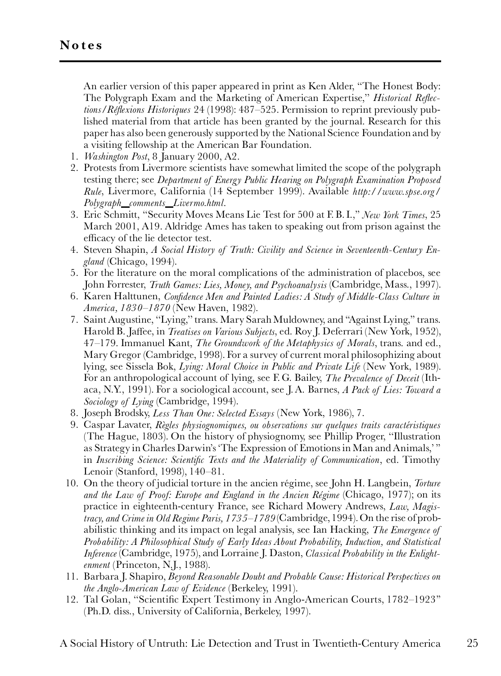An earlier version of this paper appeared in print as Ken Alder, ''The Honest Body: The Polygraph Exam and the Marketing of American Expertise,'' *Historical Reections/Re´exions Historiques* 24 (1998): 487–525. Permission to reprint previously published material from that article has been granted by the journal. Research for this paper has also been generously supported by the National Science Foundation and by a visiting fellowship at the American Bar Foundation.

- 1. *Washington Post*, 8 January 2000, A2.
- 2. Protests from Livermore scientists have somewhat limited the scope of the polygraph testing there; see *Department of Energy Public Hearing on Polygraph Examination Proposed Rule*, Livermore, California (14 September 1999). Available *http://www.spse.org/ Polygraph comments Livermo.html*.
- 3. Eric Schmitt, ''Security Moves Means Lie Test for 500 at F. B.I.,'' *New York Times*, 25 March 2001, A19. Aldridge Ames has taken to speaking out from prison against the efficacy of the lie detector test.
- 4. Steven Shapin, *A Social History of Truth: Civility and Science in Seventeenth-Century England* (Chicago, 1994).
- 5. For the literature on the moral complications of the administration of placebos, see John Forrester, *Truth Games: Lies, Money, and Psychoanalysis* (Cambridge, Mass., 1997).
- 6. Karen Halttunen, *Condence Men and Painted Ladies: A Study of Middle-Class Culture in America, 1830–1870* (New Haven, 1982).
- 7. Saint Augustine, ''Lying,'' trans. Mary Sarah Muldowney, and ''Against Lying,'' trans. Harold B. Jaffee, in *Treatises on Various Subjects*, ed. Roy J. Deferrari (New York, 1952), 47–179. Immanuel Kant, *The Groundwork of the Metaphysics of Morals*, trans. and ed., Mary Gregor (Cambridge, 1998). For a survey of current moral philosophizing about lying, see Sissela Bok, *Lying: Moral Choice in Public and Private Life* (New York, 1989). For an anthropological account of lying, see F. G. Bailey, *The Prevalence of Deceit* (Ithaca, N.Y., 1991). For a sociological account, see J.A. Barnes, *A Pack of Lies: Toward a Sociology of Lying* (Cambridge, 1994).
- 8. Joseph Brodsky, *Less Than One: Selected Essays* (New York, 1986), 7.
- 9. Caspar Lavater, *Re`gles physiognomiques, ou observations sur quelques traits caracte´ristiques* (The Hague, 1803). On the history of physiognomy, see Phillip Proger, ''Illustration as Strategy in Charles Darwin's 'The Expression of Emotions in Man and Animals,' '' in *Inscribing Science: Scientic Texts and the Materiality of Communication*, ed. Timothy Lenoir (Stanford, 1998), 140–81.
- 10. On the theory of judicial torture in the ancien régime, see John H. Langbein, *Torture and the Law of Proof: Europe and England in the Ancien Re´gime* (Chicago, 1977); on its practice in eighteenth-century France, see Richard Mowery Andrews, *Law, Magistracy, and Crime in Old Regime Paris, 1735–1789* (Cambridge, 1994).On the rise of probabilistic thinking and its impact on legal analysis, see Ian Hacking, *The Emergence of Probability: A Philosophical Study of Early Ideas About Probability, Induction, and Statistical Inference* (Cambridge, 1975), and Lorraine J. Daston, *Classical Probability in the Enlightenment* (Princeton, N.J., 1988).
- 11. Barbara J. Shapiro, *Beyond Reasonable Doubt and Probable Cause: Historical Perspectives on the Anglo-American Law of Evidence* (Berkeley, 1991).
- 12. Tal Golan, "Scientific Expert Testimony in Anglo-American Courts, 1782–1923" (Ph.D. diss., University of California, Berkeley, 1997).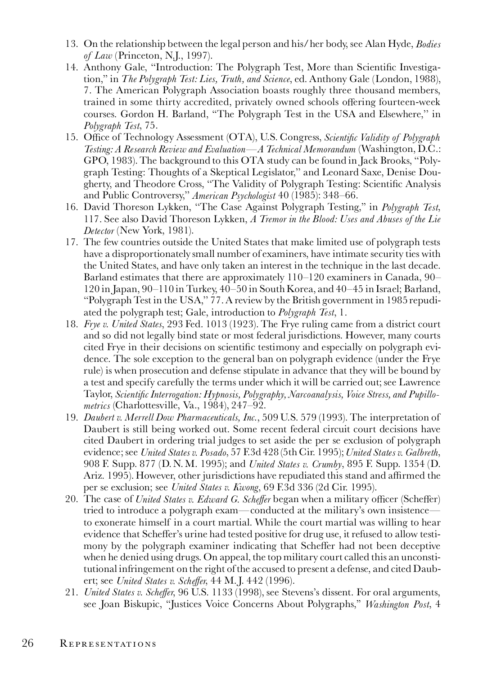- 13. On the relationship between the legal person and his/her body, see Alan Hyde, *Bodies of Law* (Princeton, N.J., 1997).
- 14. Anthony Gale, "Introduction: The Polygraph Test, More than Scientific Investigation,'' in *The Polygraph Test: Lies, Truth, and Science*, ed. Anthony Gale (London, 1988), 7. The American Polygraph Association boasts roughly three thousand members, trained in some thirty accredited, privately owned schools offering fourteen-week courses. Gordon H. Barland, ''The Polygraph Test in the USA and Elsewhere,'' in *Polygraph Test*, 75.
- 15. Office of Technology Assessment (OTA), U.S. Congress, *Scientific Validity of Polygraph Testing: A Research Review and Evaluation—A Technical Memorandum* (Washington, D.C.:  $GPO$ , 1983). The background to this  $\overline{OTA}$  study can be found in Jack Brooks, "Polygraph Testing: Thoughts of a Skeptical Legislator,'' and Leonard Saxe, Denise Dougherty, and Theodore Cross, "The Validity of Polygraph Testing: Scientific Analysis and Public Controversy,'' *American Psychologist* 40 (1985): 348–66.
- 16. David Thoreson Lykken, ''The Case Against Polygraph Testing,'' in *Polygraph Test*, 117. See also David Thoreson Lykken, *A Tremor in the Blood: Uses and Abuses of the Lie Detector* (New York, 1981).
- 17. The few countries outside the United States that make limited use of polygraph tests have a disproportionately small number of examiners, have intimate security ties with the United States, and have only taken an interest in the technique in the last decade. Barland estimates that there are approximately 110–120 examiners in Canada, 90– 120 in Japan, 90–110 in Turkey, 40–50 in SouthKorea, and 40–45 in Israel; Barland, ''Polygraph Test in the USA,'' 77.A review by the British government in 1985 repudiated the polygraph test; Gale, introduction to *Polygraph Test*, 1.
- 18. *Frye v. United States*, 293 Fed. 1013 (1923). The Frye ruling came from a district court and so did not legally bind state or most federal jurisdictions. However, many courts cited Frye in their decisions on scientific testimony and especially on polygraph evidence. The sole exception to the general ban on polygraph evidence (under the Frye rule) is when prosecution and defense stipulate in advance that they will be bound by a test and specify carefully the terms under which itwill be carried out; see Lawrence Taylor, *Scientic Interrogation: Hypnosis, Polygraphy, Narcoanalysis, Voice Stress, and Pupillometrics* (Charlottesville, Va., 1984), 247–92.
- 19. *Daubert v. Merrell Dow Pharmaceuticals, Inc.*, 509 U.S. 579 (1993). The interpretation of Daubert is still being worked out. Some recent federal circuit court decisions have cited Daubert in ordering trial judges to set aside the per se exclusion of polygraph evidence; see *United States v. Posado*, 57 F.3d 428 (5th Cir. 1995);*United States v. Galbreth*, 908 F. Supp. 877 (D. N. M. 1995); and *United States v. Crumby*, 895 F. Supp. 1354 (D. Ariz. 1995). However, other jurisdictions have repudiated this stand and affirmed the per se exclusion; see *United States v. Kwong*, 69 F.3d 336 (2d Cir. 1995).
- 20. The case of *United States v. Edward G. Scheffer* began when a military officer (Scheffer) tried to introduce a polygraph exam—conducted at the military's own insistence to exonerate himself in a court martial. While the court martial was willing to hear evidence that Scheffer's urine had tested positive for drug use, it refused to allow testimony by the polygraph examiner indicating that Scheffer had not been deceptive when he denied using drugs. On appeal, the top military court called this an unconstitutional infringement on the right of the accused to present a defense, and cited Daubert; see *United States v. Scheffer*, 44 M.J. 442 (1996).
- 21. *United States v. Scheffer*, 96 U.S. 1133 (1998), see Stevens's dissent. For oral arguments, see Joan Biskupic, ''Justices Voice Concerns About Polygraphs,'' *Washington Post*, 4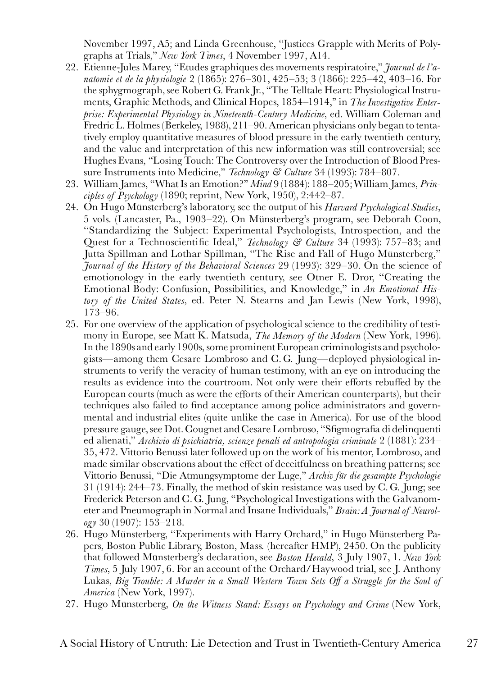November 1997, A5; and Linda Greenhouse, ''Justices Grapple with Merits of Polygraphs at Trials,'' *New York Times*, 4 November 1997, A14.

- 22. Etienne-Jules Marey, ''Etudes graphiques des movements respiratoire,'' *Journal de l'a natomie et de la physiologie* 2 (1865): 276–301, 425–53; 3 (1866): 225–42, 403–16. For the sphygmograph,see Robert G. Frank Jr., ''The Telltale Heart: PhysiologicalInstruments, Graphic Methods, and Clinical Hopes, 1854–1914,'' in *The Investigative Enterprise: Experimental Physiology in Nineteenth-Century Medicine*, ed. William Coleman and Fredric L. Holmes (Berkeley, 1988), 211–90.American physicians only began to tentatively employ quantitative measures of blood pressure in the early twentieth century, and the value and interpretation of this new information was still controversial; see Hughes Evans, ''Losing Touch: The Controversy over the Introduction of Blood Pressure Instruments into Medicine,'' *Technology & Culture* 34 (1993): 784–807.
- 23. William James, ''WhatIs an Emotion?'' *Mind* 9 (1884):188–205;William James, *Principles of Psychology* (1890; reprint, New York, 1950), 2:442–87.
- 24. On Hugo Münsterberg's laboratory, see the output of his *Harvard Psychological Studies*, 5 vols. (Lancaster, Pa., 1903–22). On Münsterberg's program, see Deborah Coon, ''Standardizing the Subject: Experimental Psychologists, Introspection, and the Quest for a Technoscientific Ideal," *Technology* & *Culture* 34 (1993): 757-83; and Jutta Spillman and Lothar Spillman, "The Rise and Fall of Hugo Münsterberg," *Journal of the History of the Behavioral Sciences* 29 (1993): 329–30. On the science of emotionology in the early twentieth century, see Otner E. Dror, ''Creating the Emotional Body: Confusion, Possibilities, and Knowledge,'' in *An Emotional History of the United States*, ed. Peter N. Stearns and Jan Lewis (New York, 1998), 173–96.
- 25. For one overview of the application of psychological science to the credibility of testimony in Europe, see Matt K. Matsuda, *The Memory of the Modern* (New York, 1996). In the 1890s and early 1900s, some prominent European criminologists and psychologists—among them Cesare Lombroso and C.G. Jung—deployed physiological instruments to verify the veracity of human testimony, with an eye on introducing the results as evidence into the courtroom. Not only were their efforts rebuffed by the European courts (much as were the efforts of their American counterparts), but their techniques also failed to find acceptance among police administrators and governmental and industrial elites (quite unlike the case in America). For use of the blood pressure gauge, see Dot. Cougnet and Cesare Lombroso, "Sfigmografia di delinquenti ed alienati,'' *Archivio di psichiatria, scienze penali ed antropologia criminale* 2 (1881): 234– 35, 472. Vittorio Benussi later followed up on the work of his mentor, Lombroso, and made similar observations about the effect of deceitfulness on breathing patterns; see Vittorio Benussi, ''Die Atmungsymptome der Luge,'' *Archiv fu¨r die gesampte Psychologie* 31 (1914): 244–73. Finally, the method of skin resistance was used by C.G. Jung; see Frederick Peterson and C.G. Jung, ''Psychological Investigations with the Galvanometer and Pneumograph in Normal and Insane Individuals,'' *Brain: A Journal of Neurology* 30 (1907): 153–218.
- 26. Hugo Münsterberg, "Experiments with Harry Orchard," in Hugo Münsterberg Papers, Boston Public Library, Boston, Mass. (hereafter HMP), 2450. On the publicity that followed Mu¨nsterberg's declaration, see *Boston Herald*, 3 July 1907, 1. *New York Times*, 5 July 1907, 6. For an account of the Orchard/Haywood trial, see J. Anthony Lukas, *Big Trouble: A Murder in a Small Western Town Sets OV a Struggle for the Soul of America* (New York, 1997).
- 27. Hugo Münsterberg, On the Witness Stand: Essays on Psychology and Crime (New York,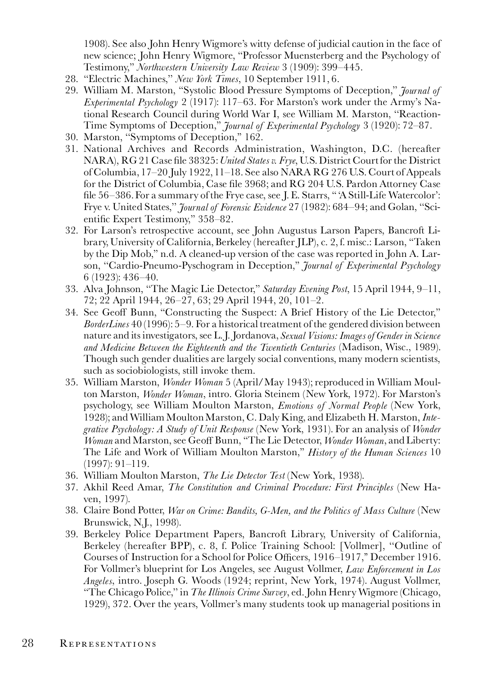1908). See also John Henry Wigmore's witty defense of judicial caution in the face of new science; John Henry Wigmore, ''Professor Muensterberg and the Psychology of Testimony,'' *Northwestern University Law Review* 3 (1909): 399–445.

- 28. ''Electric Machines,'' *New York Times*, 10 September 1911, 6.
- 29. William M. Marston, ''Systolic Blood Pressure Symptoms of Deception,'' *Journal of Experimental Psychology* 2 (1917): 117–63. For Marston's work under the Army's National Research Council during World War I, see William M. Marston, ''Reaction-Time Symptoms of Deception,'' *Journal of Experimental Psychology* 3 (1920): 72–87.
- 30. Marston, ''Symptoms of Deception,'' 162.
- 31. National Archives and Records Administration, Washington, D.C. (hereafter NARA), RG 21 Case le 38325:*United States v. Frye*, U.S. District Courtforthe District of Columbia, 17–20 July 1922, 11–18. See also NARA RG 276 U.S. Court of Appeals for the District of Columbia, Case file 3968; and RG 204 U.S. Pardon Attorney Case file 56–386. For a summary of the Frye case, see J. E. Starrs, "A Still-Life Watercolor': Frye v. United States,'' *Journal of Forensic Evidence* 27 (1982): 684–94; and Golan, ''Scientific Expert Testimony," 358–82.
- 32. For Larson's retrospective account, see John Augustus Larson Papers, Bancroft Library, University of California,Berkeley (hereafter JLP), c. 2, f. misc.: Larson, ''Taken by the Dip Mob,'' n.d. A cleaned-up version of the case was reported in John A. Larson, ''Cardio-Pneumo-Pyschogram in Deception,'' *Journal of Experimental Psychology* 6 (1923): 436–40.
- 33. Alva Johnson, ''The Magic Lie Detector,'' *Saturday Evening Post*, 15 April 1944, 9–11, 72; 22 April 1944, 26–27, 63; 29 April 1944, 20, 101–2.
- 34. See Geoff Bunn, "Constructing the Suspect: A Brief History of the Lie Detector," *BorderLines* 40 (1996): 5–9. For a historical treatment of the gendered division between nature and its investigators, see L.J. Jordanova, *Sexual Visions: Imagesof Gender in Science and Medicine Between the Eighteenth and the Twentieth Centuries* (Madison, Wisc., 1989). Though such gender dualities are largely social conventions, many modern scientists, such as sociobiologists, still invoke them.
- 35. William Marston, *Wonder Woman* 5 (April/May 1943); reproduced in William Moulton Marston, *Wonder Woman*, intro. Gloria Steinem (New York, 1972). For Marston's psychology, see William Moulton Marston, *Emotions of Normal People* (New York, 1928); and William MoultonMarston, C. Daly King, and Elizabeth H. Marston, *Integrative Psychology: A Study of Unit Response* (New York, 1931). For an analysis of *Wonder Woman* and Marston, see Geoff Bunn, "The Lie Detector, *Wonder Woman*, and Liberty: The Life and Work of William Moulton Marston,'' *History of the Human Sciences* 10 (1997): 91–119.
- 36. William Moulton Marston, *The Lie Detector Test* (New York, 1938).
- 37. Akhil Reed Amar, *The Constitution and Criminal Procedure: First Principles* (New Haven, 1997).
- 38. Claire Bond Potter, *War on Crime: Bandits, G-Men, and the Politics of Mass Culture* (New Brunswick, N.J., 1998).
- 39. Berkeley Police Department Papers, Bancroft Library, University of California, Berkeley (hereafter BPP), c. 8, f. Police Training School: [Vollmer], ''Outline of Courses of Instruction for a School for Police Officers, 1916–1917," December 1916. For Vollmer's blueprint for Los Angeles, see August Vollmer, *Law Enforcement in Los Angeles*, intro. Joseph G. Woods (1924; reprint, New York, 1974). August Vollmer, ''The Chicago Police,'' in *The Illinois Crime Survey*, ed. John Henry Wigmore (Chicago, 1929), 372. Over the years, Vollmer's many students took up managerial positions in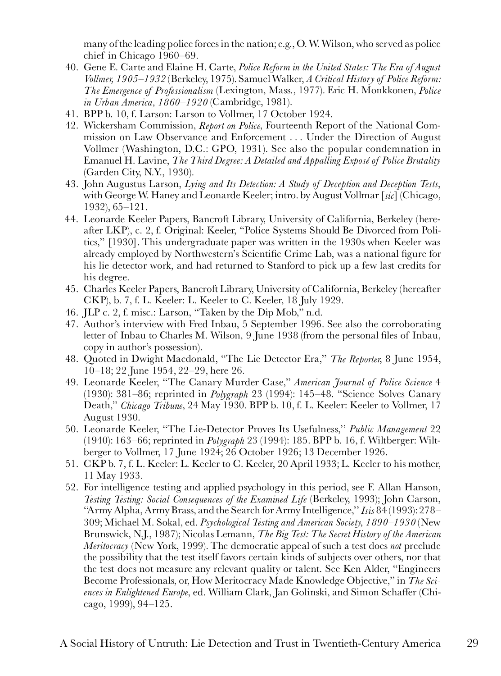many of the leading police forces in the nation; e.g., O. W. Wilson, who served as police chief in Chicago 1960–69.

- 40. Gene E. Carte and Elaine H. Carte, *Police Reform in the United States: The Era of August Vollmer, 1905–1932* (Berkeley, 1975). Samuel Walker, *A Critical History of Police Reform: The Emergence of Professionalism* (Lexington, Mass., 1977). Eric H. Monkkonen, *Police in Urban America, 1860–1920* (Cambridge, 1981).
- 41. BPP b.10, f. Larson: Larson to Vollmer, 17 October 1924.
- 42. Wickersham Commission, *Report on Police*, Fourteenth Report of the National Commission on Law Observance and Enforcement . . . Under the Direction of August Vollmer (Washington, D.C.: GPO, 1931). See also the popular condemnation in Emanuel H. Lavine, *The Third Degree: A Detailed and Appalling Expose´ of Police Brutality* (Garden City, N.Y., 1930).
- 43. John Augustus Larson, *Lying and Its Detection: A Study of Deception and Deception Tests*, with George W. Haney and Leonarde Keeler; intro. by August Vollmar[*sic*] (Chicago, 1932), 65–121.
- 44. Leonarde Keeler Papers, Bancroft Library, University of California, Berkeley (hereafter LKP), c. 2, f. Original: Keeler, ''Police Systems Should Be Divorced from Politics,'' [1930]. This undergraduate paper was written in the 1930s when Keeler was already employed by Northwestern's Scientific Crime Lab, was a national figure for his lie detector work, and had returned to Stanford to pick up a few last credits for his degree.
- 45. Charles Keeler Papers, Bancroft Library, University of California, Berkeley (hereafter CKP), b. 7, f. L. Keeler: L. Keeler to C. Keeler, 18 July 1929.
- 46. JLP c.2, f. misc.: Larson, ''Taken by the Dip Mob,'' n.d.
- 47. Author's interview with Fred Inbau, 5 September 1996. See also the corroborating letter of Inbau to Charles M. Wilson, 9 June 1938 (from the personal files of Inbau, copy in author's possession).
- 48. Quoted in Dwight Macdonald, ''The Lie Detector Era,'' *The Reporter*, 8 June 1954, 10–18; 22 June 1954, 22–29, here 26.
- 49. Leonarde Keeler, ''The Canary Murder Case,'' *American Journal of Police Science* 4 (1930): 381–86; reprinted in *Polygraph* 23 (1994): 145–48. ''Science Solves Canary Death,'' *Chicago Tribune*, 24 May 1930. BPP b.10, f. L. Keeler: Keeler to Vollmer, 17 August 1930.
- 50. Leonarde Keeler, ''The Lie-Detector Proves Its Usefulness,'' *Public Management* 22 (1940): 163–66; reprinted in *Polygraph* 23 (1994): 185. BPP b.16, f. Wiltberger: Wiltberger to Vollmer, 17 June 1924; 26 October 1926; 13 December 1926.
- 51. CKP b.7, f. L. Keeler: L. Keeler to C. Keeler, 20 April 1933; L. Keeler to his mother, 11 May 1933.
- 52. For intelligence testing and applied psychology in this period, see F. Allan Hanson, *Testing Testing: Social Consequences of the Examined Life* (Berkeley, 1993); John Carson, ''Army Alpha, Army Brass, and the Search forArmy Intelligence,''*Isis* 84 (1993):278– 309; Michael M. Sokal, ed. *Psychological Testing and American Society, 1890–1930* (New Brunswick, N.J., 1987); Nicolas Lemann, *The Big Test: The Secret History of the American Meritocracy* (New York, 1999). The democratic appeal of such a test does *not* preclude the possibility that the test itself favors certain kinds of subjects over others, nor that the test does not measure any relevant quality or talent. See Ken Alder, ''Engineers Become Professionals, or, How Meritocracy Made Knowledge Objective,'' in *The Sci*ences in *Enlightened Europe*, ed. William Clark, Jan Golinski, and Simon Schaffer (Chicago, 1999), 94–125.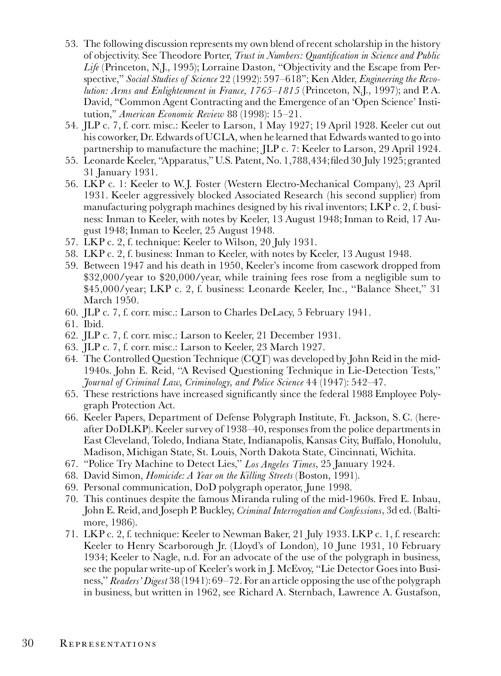- 53. The following discussion represents my own blend ofrecent scholarship in the history of objectivity. See Theodore Porter, *Trust in Numbers: Quantication in Science and Public Life* (Princeton, N.J., 1995); Lorraine Daston, ''Objectivity and the Escape from Perspective,'' *Social Studies of Science* 22 (1992): 597–618''; Ken Alder, *Engineering the Revolution: Arms and Enlightenment in France, 1765–1815* (Princeton, N.J., 1997); and P.A. David, ''Common Agent Contracting and the Emergence of an 'Open Science' Institution,'' *American Economic Review* 88 (1998): 15–21.
- 54. JLP c.7, f. corr. misc.: Keeler to Larson, 1 May 1927; 19 April 1928. Keeler cut out his coworker, Dr. Edwards of UCLA, when he learned that Edwards wanted to go into partnership to manufacture the machine; JLP c. 7: Keeler to Larson, 29 April 1924.
- 55. Leonarde Keeler, "Apparatus," U.S. Patent, No. 1,788,434; filed 30 July 1925; granted 31 January 1931.
- 56. LKP c.1: Keeler to W.J. Foster (Western Electro-Mechanical Company), 23 April 1931. Keeler aggressively blocked Associated Research (his second supplier) from manufacturing polygraph machines designed by his rival inventors; LKP c. 2, f. busi ness: Inman to Keeler, with notes by Keeler, 13 August 1948; Inman to Reid, 17 August 1948; Inman to Keeler, 25 August 1948.
- 57. LKP c. 2, f. technique: Keeler to Wilson, 20 July 1931.
- 58. LKP c. 2, f. business: Inman to Keeler, with notes by Keeler, 13 August 1948.
- 59. Between 1947 and his death in 1950, Keeler's income from casework dropped from \$32,000/year to \$20,000/year, while training fees rose from a negligible sum to \$45,000/year; LKP c. 2, f. business: Leonarde Keeler, Inc., ''Balance Sheet,'' 31 March 1950.
- 60. JLP c.7, f. corr. misc.: Larson to Charles DeLacy, 5 February 1941.
- 61. Ibid.
- 62. JLP c.7, f. corr. misc.: Larson to Keeler, 21 December 1931.
- 63. JLP c.7, f. corr. misc.: Larson to Keeler, 23 March 1927.
- 64. The Controlled Question Technique (CQT) was developed by John Reid in the mid-1940s. John E. Reid, ''A Revised Questioning Technique in Lie-Detection Tests,'' *Journal of Criminal Law, Criminology, and Police Science* 44 (1947): 542–47.
- 65. These restrictions have increased significantly since the federal 1988 Employee Polygraph Protection Act.
- 66. Keeler Papers, Department of Defense Polygraph Institute, Ft. Jackson, S. C. (hereafter DoDLKP). Keeler survey of 1938–40, responses from the police departments in East Cleveland, Toledo, Indiana State, Indianapolis, Kansas City, Buffalo, Honolulu, Madison, Michigan State, St. Louis, North Dakota State, Cincinnati, Wichita.
- 67. ''Police Try Machine to Detect Lies,'' *Los Angeles Times*, 25 January 1924.
- 68. David Simon, *Homicide: A Year on the Killing Streets* (Boston, 1991).
- 69. Personal communication, DoD polygraph operator, June 1998.
- 70. This continues despite the famous Miranda ruling of the mid-1960s. Fred E. Inbau, John E. Reid, and Joseph P. Buckley, *Criminal Interrogation and Confessions*, 3d ed. (Baltimore, 1986).
- 71. LKP c. 2, f. technique: Keeler to Newman Baker, 21 July 1933. LKP c. 1, f. research: Keeler to Henry Scarborough Jr. (Lloyd's of London), 10 June 1931, 10 February 1934; Keeler to Nagle, n.d. For an advocate of the use of the polygraph in business, see the popular write-up of Keeler's work in J. McEvoy, ''Lie Detector Goes into Business,'' *Readers' Digest* 38 (1941):69–72. For an article opposing the use of the polygraph in business, but written in 1962, see Richard A. Sternbach, Lawrence A. Gustafson,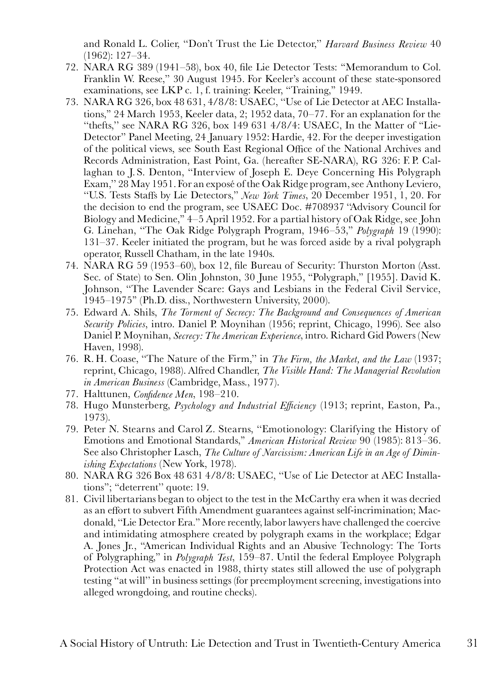and Ronald L. Colier, ''Don't Trust the Lie Detector,'' *Harvard Business Review* 40 (1962): 127–34.

- 72. NARA RG 389 (1941–58), box 40, file Lie Detector Tests: "Memorandum to Col. Franklin W. Reese,'' 30 August 1945. For Keeler's account of these state-sponsored examinations, see LKP c. 1, f. training: Keeler, ''Training,'' 1949.
- 73. NARA RG 326, box 48 631, 4/8/8: USAEC, ''Use of Lie Detector at AEC Installations,'' 24 March 1953, Keeler data, 2; 1952 data, 70–77. For an explanation for the "thefts," see NARA RG 326, box 149 631 4/8/4: USAEC, In the Matter of "Lie-Detector'' Panel Meeting, 24 January 1952: Hardie, 42. For the deeper investigation of the political views, see South East Regional Office of the National Archives and Records Administration, East Point, Ga. (hereafter SE-NARA), RG 326: F.P. Callaghan to J. S. Denton, ''Interview of Joseph E. Deye Concerning His Polygraph Exam," 28 May 1951. For an expose of the Oak Ridge program, see Anthony Leviero, "U.S. Tests Staffs by Lie Detectors," *New York Times*, 20 December 1951, 1, 20. For the decision to end the program, see USAEC Doc. #708937 ''Advisory Council for Biology and Medicine,'' 4–5 April 1952. For a partial history of Oak Ridge, see John G. Linehan, ''The Oak Ridge Polygraph Program, 1946–53,'' *Polygraph* 19 (1990): 131–37. Keeler initiated the program, but he was forced aside by a rival polygraph operator, Russell Chatham, in the late 1940s.
- 74. NARA RG 59 (1953–60), box 12, le Bureau of Security: Thurston Morton (Asst. Sec. of State) to Sen. Olin Johnston, 30 June 1955, ''Polygraph,'' [1955]. David K. Johnson, ''The Lavender Scare: Gays and Lesbians in the Federal Civil Service, 1945–1975'' (Ph.D. diss., Northwestern University, 2000).
- 75. Edward A. Shils, *The Torment of Secrecy: The Background and Consequences of American Security Policies*, intro. Daniel P. Moynihan (1956; reprint, Chicago, 1996). See also Daniel P. Moynihan, *Secrecy: The American Experience*, intro. Richard Gid Powers (New Haven, 1998).
- 76. R. H. Coase, ''The Nature of the Firm,'' in *The Firm, the Market, and the Law* (1937; reprint, Chicago, 1988). Alfred Chandler, *The Visible Hand: The Managerial Revolution in American Business* (Cambridge, Mass., 1977).
- 77. Halttunen, *Condence Men*, 198–210.
- 78. Hugo Munsterberg, *Psychology and Industrial Efficiency* (1913; reprint, Easton, Pa., 1973).
- 79. Peter N. Stearns and Carol Z. Stearns, ''Emotionology: Clarifying the History of Emotions and Emotional Standards,'' *American Historical Review* 90 (1985): 813–36. See also Christopher Lasch, *The Culture of Narcissism: American Life in an Age of Diminishing Expectations* (New York, 1978).
- 80. NARA RG 326 Box 48 631 4/8/8: USAEC, ''Use of Lie Detector at AEC Installations"; "deterrent" quote: 19.
- 81. Civil libertarians began to object to the test in the McCarthy era when it was decried as an effort to subvert Fifth Amendment guarantees against self-incrimination; Macdonald, ''Lie Detector Era.'' More recently, laborlawyers have challenged the coercive and intimidating atmosphere created by polygraph exams in the workplace; Edgar A. Jones Jr., ''American Individual Rights and an Abusive Technology: The Torts of Polygraphing,'' in *Polygraph Test*, 159–87. Until the federal Employee Polygraph Protection Act was enacted in 1988, thirty states still allowed the use of polygraph testing ''at will'' in business settings (for preemployment screening, investigations into alleged wrongdoing, and routine checks).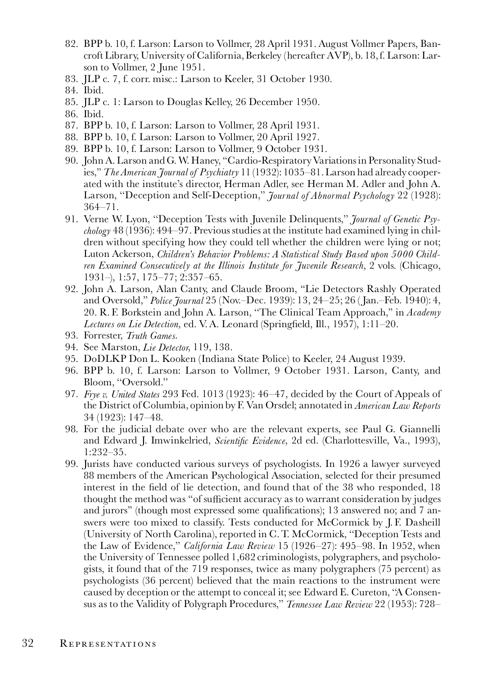- 82. BPP b.10, f. Larson: Larson to Vollmer, 28 April 1931. August Vollmer Papers, Bancroft Library, University of California,Berkeley (hereafter AVP), b. 18, f. Larson: Larson to Vollmer, 2 June 1951.
- 83. JLP c.7, f. corr. misc.: Larson to Keeler, 31 October 1930.
- 84. Ibid.
- 85. JLP c.1: Larson to Douglas Kelley, 26 December 1950.
- 86. Ibid.
- 87. BPP b.10, f. Larson: Larson to Vollmer, 28 April 1931.
- 88. BPP b.10, f. Larson: Larson to Vollmer, 20 April 1927.
- 89. BPP b.10, f. Larson: Larson to Vollmer, 9 October 1931.
- 90. John A. Larson and G. W. Haney, ''Cardio-RespiratoryVariationsin Personality Studies,'' *The American Journal of Psychiatry* 11 (1932): 1035–81.Larson had already cooperated with the institute's director, Herman Adler, see Herman M. Adler and John A. Larson, ''Deception and Self-Deception,'' *Journal of Abnormal Psychology* 22 (1928): 364–71.
- 91. Verne W. Lyon, ''Deception Tests with Juvenile Delinquents,'' *Journal of Genetic Psychology* 48 (1936): 494–97. Previous studies at the institute had examined lying in children without specifying how they could tell whether the children were lying or not; Luton Ackerson, *Children's Behavior Problems: A Statistical Study Based upon 5000 Children Examined Consecutively at the Illinois Institute for Juvenile Research*, 2 vols. (Chicago, 1931–), 1:57, 175–77; 2:357–65.
- 92. John A. Larson, Alan Canty, and Claude Broom, ''Lie Detectors Rashly Operated and Oversold,'' *Police Journal* 25 (Nov.–Dec. 1939): 13, 24–25; 26 ( Jan.–Feb. 1940): 4, 20. R. F. Borkstein and John A. Larson, ''The Clinical Team Approach,'' in *Academy Lectures on Lie Detection*, ed. V.A. Leonard (Springfield, Ill., 1957),  $1:11-20$ .
- 93. Forrester, *Truth Games*.
- 94. See Marston, *Lie Detector*, 119, 138.
- 95. DoDLKP Don L. Kooken (Indiana State Police) to Keeler, 24 August 1939.
- 96. BPP b. 10, f. Larson: Larson to Vollmer, 9 October 1931. Larson, Canty, and Bloom, ''Oversold.''
- 97. *Frye v. United States* 293 Fed. 1013 (1923): 46–47, decided by the Court of Appeals of the District of Columbia, opinion by F. Van Orsdel; annotated in *American Law Reports* 34 (1923): 147–48.
- 98. For the judicial debate over who are the relevant experts, see Paul G. Giannelli and Edward J. Imwinkelried, *Scientic Evidence*, 2d ed. (Charlottesville, Va., 1993), 1:232–35.
- 99. Jurists have conducted various surveys of psychologists. In 1926 a lawyer surveyed 88 members of the American Psychological Association, selected for their presumed interest in the field of lie detection, and found that of the 38 who responded, 18 thought the method was "of sufficient accuracy as to warrant consideration by judges and jurors" (though most expressed some qualifications); 13 answered no; and 7 answers were too mixed to classify. Tests conducted for McCormick by J. F. Dasheill (University of North Carolina), reported in C.T. McCormick, ''Deception Tests and the Law of Evidence,'' *California Law Review* 15 (1926–27): 495–98. In 1952, when the University of Tennessee polled 1,682 criminologists, polygraphers, and psychologists, it found that of the 719 responses, twice as many polygraphers (75 percent) as psychologists (36 percent) believed that the main reactions to the instrument were caused by deception or the attempt to conceal it; see Edward E. Cureton, ''A Consensus as to the Validity of Polygraph Procedures,'' *Tennessee Law Review* 22 (1953): 728–